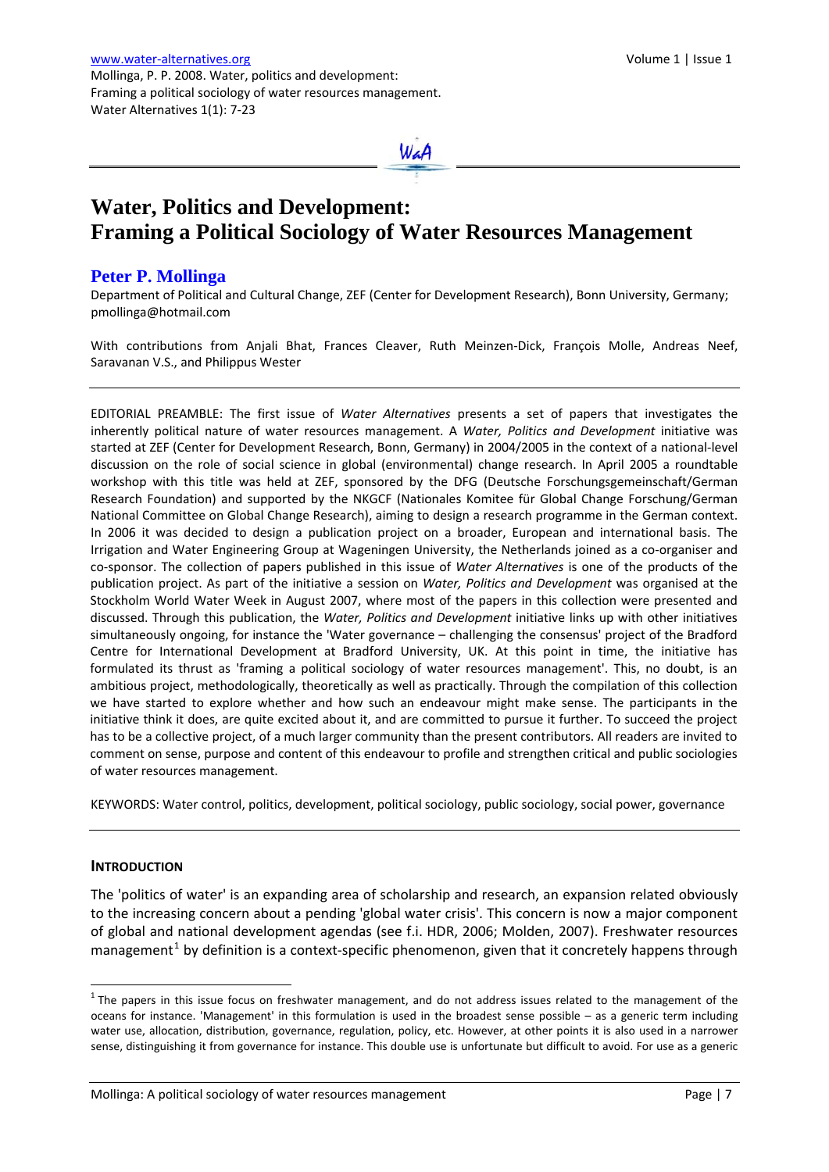# **Water, Politics and Development: Framing a Political Sociology of Water Resources Management**

WaA

# **Peter P. Mollinga**

Department of Political and Cultural Change, ZEF (Center for Development Research), Bonn University, Germany; pmollinga@hotmail.com

With contributions from Anjali Bhat, Frances Cleaver, Ruth Meinzen-Dick, François Molle, Andreas Neef, Saravanan V.S., and Philippus Wester

EDITORIAL PREAMBLE: The first issue of *Water Alternatives* presents a set of papers that investigates the inherently political nature of water resources management. A *Water, Politics and Development* initiative was started at ZEF (Center for Development Research, Bonn, Germany) in 2004/2005 in the context of a national‐level discussion on the role of social science in global (environmental) change research. In April 2005 a roundtable workshop with this title was held at ZEF, sponsored by the DFG (Deutsche Forschungsgemeinschaft/German Research Foundation) and supported by the NKGCF (Nationales Komitee für Global Change Forschung/German National Committee on Global Change Research), aiming to design a research programme in the German context. In 2006 it was decided to design a publication project on a broader, European and international basis. The Irrigation and Water Engineering Group at Wageningen University, the Netherlands joined as a co-organiser and co‐sponsor. The collection of papers published in this issue of *Water Alternatives* is one of the products of the publication project. As part of the initiative a session on *Water, Politics and Development* was organised at the Stockholm World Water Week in August 2007, where most of the papers in this collection were presented and discussed. Through this publication, the *Water, Politics and Development* initiative links up with other initiatives simultaneously ongoing, for instance the 'Water governance – challenging the consensus' project of the Bradford Centre for International Development at Bradford University, UK. At this point in time, the initiative has formulated its thrust as 'framing a political sociology of water resources management'. This, no doubt, is an ambitious project, methodologically, theoretically as well as practically. Through the compilation of this collection we have started to explore whether and how such an endeavour might make sense. The participants in the initiative think it does, are quite excited about it, and are committed to pursue it further. To succeed the project has to be a collective project, of a much larger community than the present contributors. All readers are invited to comment on sense, purpose and content of this endeavour to profile and strengthen critical and public sociologies of water resources management.

KEYWORDS: Water control, politics, development, political sociology, public sociology, social power, governance

## **INTRODUCTION**

The 'politics of water' is an expanding area of scholarship and research, an expansion related obviously to the increasing concern about a pending 'global water crisis'. This concern is now a major component of global and national development agendas (see f.i. HDR, 2006; Molden, 2007). Freshwater resources management<sup>[1](#page-0-0)</sup> by definition is a context-specific phenomenon, given that it concretely happens through

<span id="page-0-0"></span> $1$ The papers in this issue focus on freshwater management, and do not address issues related to the management of the oceans for instance. 'Management' in this formulation is used in the broadest sense possible – as a generic term including water use, allocation, distribution, governance, regulation, policy, etc. However, at other points it is also used in a narrower sense, distinguishing it from governance for instance. This double use is unfortunate but difficult to avoid. For use as a generic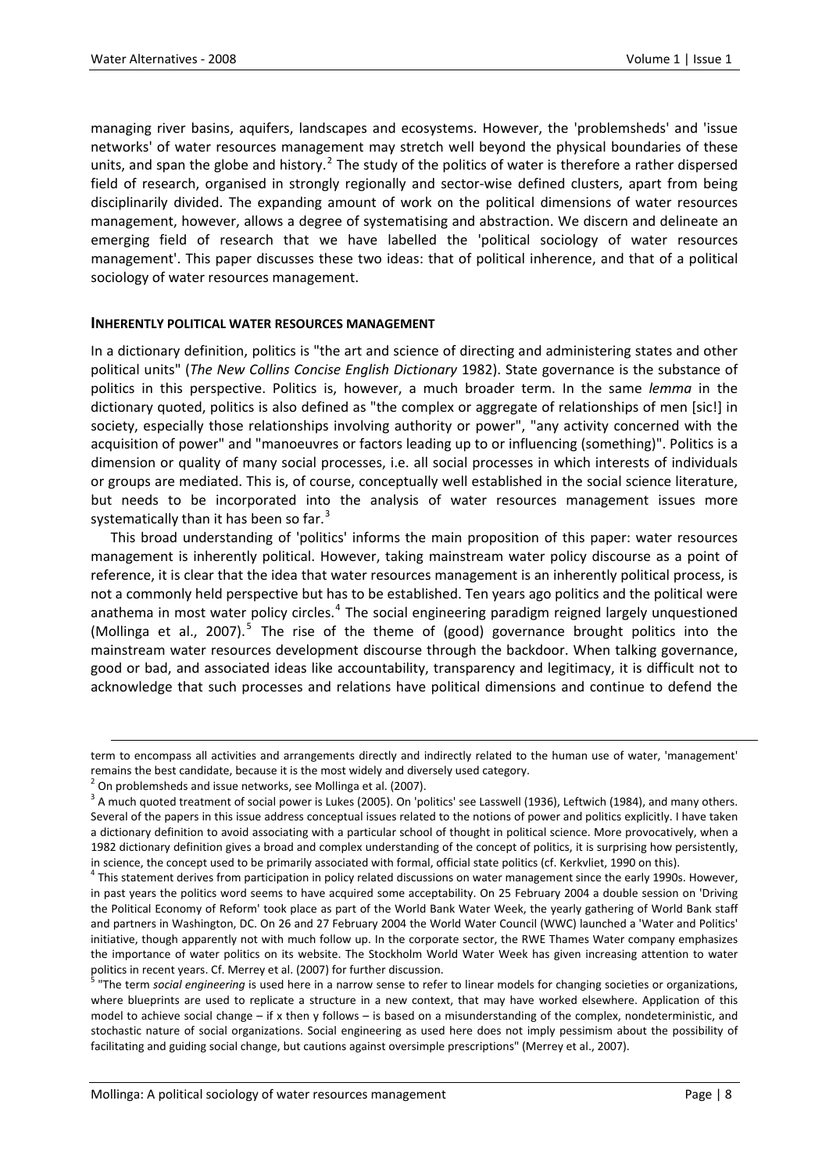managing river basins, aquifers, landscapes and ecosystems. However, the 'problemsheds' and 'issue networks' of water resources management may stretch well beyond the physical boundaries of these units, and span the globe and history.<sup>[2](#page-1-0)</sup> The study of the politics of water is therefore a rather dispersed field of research, organised in strongly regionally and sector-wise defined clusters, apart from being disciplinarily divided. The expanding amount of work on the political dimensions of water resources management, however, allows a degree of systematising and abstraction. We discern and delineate an emerging field of research that we have labelled the 'political sociology of water resources management'. This paper discusses these two ideas: that of political inherence, and that of a political sociology of water resources management.

## **INHERENTLY POLITICAL WATER RESOURCES MANAGEMENT**

In a dictionary definition, politics is "the art and science of directing and administering states and other political units" (*The New Collins Concise English Dictionary* 1982). State governance is the substance of politics in this perspective. Politics is, however, a much broader term. In the same *lemma* in the dictionary quoted, politics is also defined as "the complex or aggregate of relationships of men [sic!] in society, especially those relationships involving authority or power", "any activity concerned with the acquisition of power" and "manoeuvres or factors leading up to or influencing (something)". Politics is a dimension or quality of many social processes, i.e. all social processes in which interests of individuals or groups are mediated. This is, of course, conceptually well established in the social science literature, but needs to be incorporated into the analysis of water resources management issues more systematically than it has been so far.<sup>[3](#page-1-1)</sup>

This broad understanding of 'politics' informs the main proposition of this paper: water resources management is inherently political. However, taking mainstream water policy discourse as a point of reference, it is clear that the idea that water resources management is an inherently political process, is not a commonly held perspective but has to be established. Ten years ago politics and the political were anathema in most water policy circles.<sup>[4](#page-1-2)</sup> The social engineering paradigm reigned largely unquestioned (Mollinga et al., 2007).<sup>[5](#page-1-3)</sup> The rise of the theme of (good) governance brought politics into the mainstream water resources development discourse through the backdoor. When talking governance, good or bad, and associated ideas like accountability, transparency and legitimacy, it is difficult not to acknowledge that such processes and relations have political dimensions and continue to defend the

<u> 1989 - Johann Barbert Barbert Barbert Barbert Barbert Barbert Barbert Barbert Barbert Barbert Barbert Barbert</u>

term to encompass all activities and arrangements directly and indirectly related to the human use of water, 'management' remains the best candidate, because it is the most widely and diversely used category.<br><sup>2</sup> On problemsheds and issue networks, see Mollinga et al. (2007).<br><sup>3</sup> A much quoted treatment of social power is Lukes (2005). On 'po

<span id="page-1-1"></span><span id="page-1-0"></span>Several of the papers in this issue address conceptual issues related to the notions of power and politics explicitly. I have taken a dictionary definition to avoid associating with a particular school of thought in political science. More provocatively, when a 1982 dictionary definition gives a broad and complex understanding of the concept of politics, it is surprising how persistently, in science, the concept used to be primarily associated with formal, official state politics (cf. Kerkvliet, 1990 on this).<br><sup>4</sup> This statement derives from participation in policy related discussions on water management si

<span id="page-1-2"></span>in past years the politics word seems to have acquired some acceptability. On 25 February 2004 a double session on 'Driving the Political Economy of Reform' took place as part of the World Bank Water Week, the yearly gathering of World Bank staff and partners in Washington, DC. On 26 and 27 February 2004 the World Water Council (WWC) launched a 'Water and Politics' initiative, though apparently not with much follow up. In the corporate sector, the RWE Thames Water company emphasizes the importance of water politics on its website. The Stockholm World Water Week has given increasing attention to water politics in recent years. Cf. Merrey et al. (2007) for further discussion.<br><sup>5</sup> "The term *social engineering* is used here in a narrow sense to refer to linear models for changing societies or organizations,

<span id="page-1-3"></span>where blueprints are used to replicate a structure in a new context, that may have worked elsewhere. Application of this model to achieve social change – if x then y follows – is based on a misunderstanding of the complex, nondeterministic, and stochastic nature of social organizations. Social engineering as used here does not imply pessimism about the possibility of facilitating and guiding social change, but cautions against oversimple prescriptions" (Merrey et al., 2007).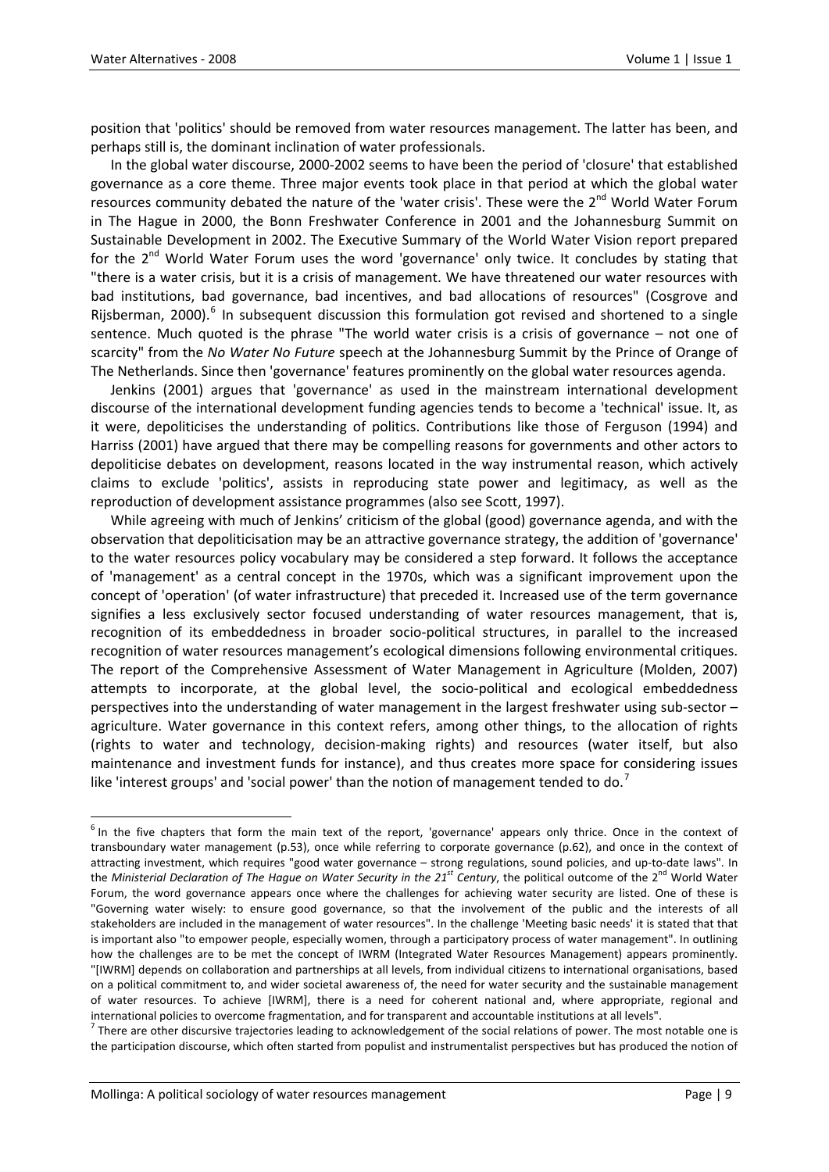position that 'politics' should be removed from water resources management. The latter has been, and perhaps still is, the dominant inclination of water professionals.

In the global water discourse, 2000‐2002 seems to have been the period of 'closure' that established governance as a core theme. Three major events took place in that period at which the global water resources community debated the nature of the 'water crisis'. These were the 2<sup>nd</sup> World Water Forum in The Hague in 2000, the Bonn Freshwater Conference in 2001 and the Johannesburg Summit on Sustainable Development in 2002. The Executive Summary of the World Water Vision report prepared for the 2<sup>nd</sup> World Water Forum uses the word 'governance' only twice. It concludes by stating that "there is a water crisis, but it is a crisis of management. We have threatened our water resources with bad institutions, bad governance, bad incentives, and bad allocations of resources" (Cosgrove and Riisberman, 2000).<sup>[6](#page-2-0)</sup> In subsequent discussion this formulation got revised and shortened to a single sentence. Much quoted is the phrase "The world water crisis is a crisis of governance – not one of scarcity" from the *No Water No Future* speech at the Johannesburg Summit by the Prince of Orange of The Netherlands. Since then 'governance' features prominently on the global water resources agenda.

Jenkins (2001) argues that 'governance' as used in the mainstream international development discourse of the international development funding agencies tends to become a 'technical' issue. It, as it were, depoliticises the understanding of politics. Contributions like those of Ferguson (1994) and Harriss (2001) have argued that there may be compelling reasons for governments and other actors to depoliticise debates on development, reasons located in the way instrumental reason, which actively claims to exclude 'politics', assists in reproducing state power and legitimacy, as well as the reproduction of development assistance programmes (also see Scott, 1997).

While agreeing with much of Jenkins' criticism of the global (good) governance agenda, and with the observation that depoliticisation may be an attractive governance strategy, the addition of 'governance' to the water resources policy vocabulary may be considered a step forward. It follows the acceptance of 'management' as a central concept in the 1970s, which was a significant improvement upon the concept of 'operation' (of water infrastructure) that preceded it. Increased use of the term governance signifies a less exclusively sector focused understanding of water resources management, that is, recognition of its embeddedness in broader socio-political structures, in parallel to the increased recognition of water resources management's ecological dimensions following environmental critiques. The report of the Comprehensive Assessment of Water Management in Agriculture (Molden, 2007) attempts to incorporate, at the global level, the socio‐political and ecological embeddedness perspectives into the understanding of water management in the largest freshwater using sub-sector – agriculture. Water governance in this context refers, among other things, to the allocation of rights (rights to water and technology, decision‐making rights) and resources (water itself, but also maintenance and investment funds for instance), and thus creates more space for considering issues like 'interest groups' and 'social power' than the notion of management tended to do.<sup>[7](#page-2-1)</sup>

<span id="page-2-0"></span><sup>&</sup>lt;sup>6</sup> In the five chapters that form the main text of the report, 'governance' appears only thrice. Once in the context of transboundary water management (p.53), once while referring to corporate governance (p.62), and once in the context of attracting investment, which requires "good water governance – strong regulations, sound policies, and up‐to‐date laws". In the *Ministerial Declaration of The Hague on Water Security in the 21st Century*, the political outcome of the 2nd World Water Forum, the word governance appears once where the challenges for achieving water security are listed. One of these is "Governing water wisely: to ensure good governance, so that the involvement of the public and the interests of all stakeholders are included in the management of water resources". In the challenge 'Meeting basic needs' it is stated that that is important also "to empower people, especially women, through a participatory process of water management". In outlining how the challenges are to be met the concept of IWRM (Integrated Water Resources Management) appears prominently. "[IWRM] depends on collaboration and partnerships at all levels, from individual citizens to international organisations, based on a political commitment to, and wider societal awareness of, the need for water security and the sustainable management of water resources. To achieve [IWRM], there is a need for coherent national and, where appropriate, regional and international policies to overcome fragmentation, and for transparent and accountable institutions at all levels".<br><sup>7</sup> There are other discursive trajectories leading to acknowledgement of the social relations of power. Th

<span id="page-2-1"></span>the participation discourse, which often started from populist and instrumentalist perspectives but has produced the notion of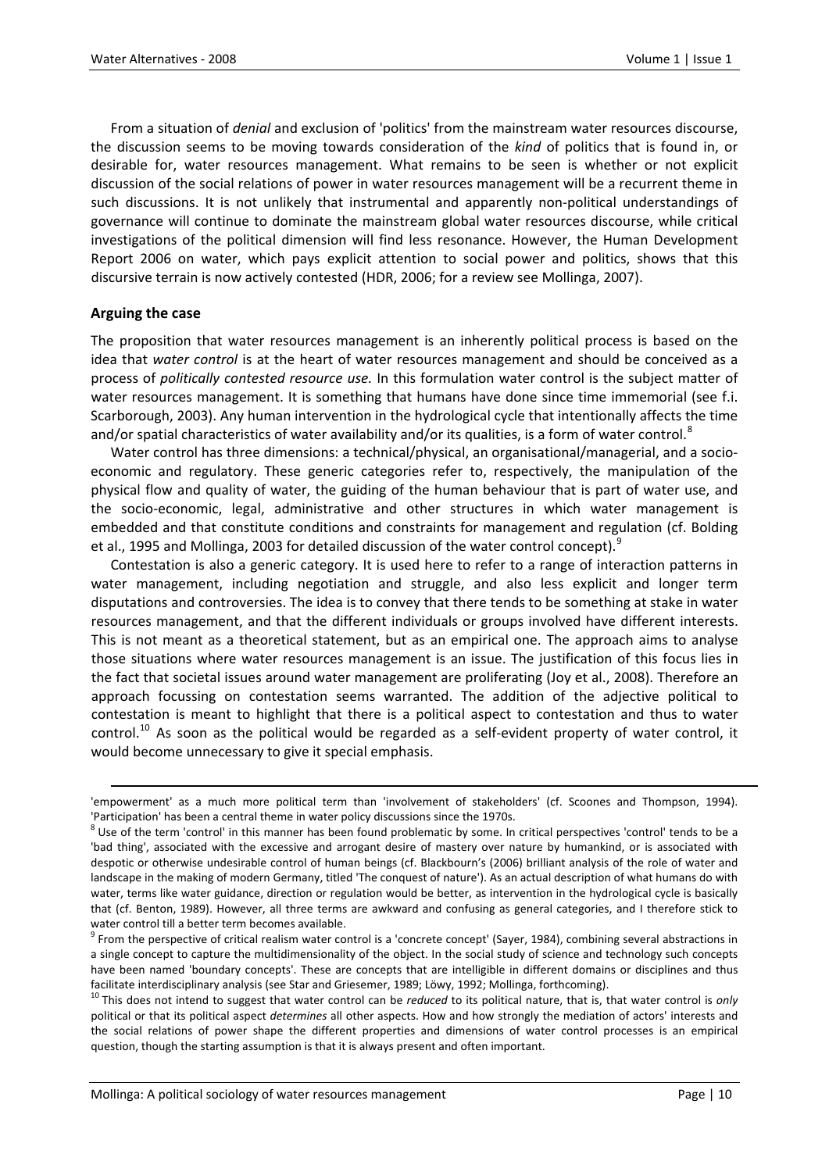From a situation of *denial* and exclusion of 'politics' from the mainstream water resources discourse, the discussion seems to be moving towards consideration of the *kind* of politics that is found in, or desirable for, water resources management. What remains to be seen is whether or not explicit discussion of the social relations of power in water resources management will be a recurrent theme in such discussions. It is not unlikely that instrumental and apparently non‐political understandings of governance will continue to dominate the mainstream global water resources discourse, while critical investigations of the political dimension will find less resonance. However, the Human Development Report 2006 on water, which pays explicit attention to social power and politics, shows that this discursive terrain is now actively contested (HDR, 2006; for a review see Mollinga, 2007).

## **Arguing the case**

The proposition that water resources management is an inherently political process is based on the idea that *water control* is at the heart of water resources management and should be conceived as a process of *politically contested resource use.* In this formulation water control is the subject matter of water resources management. It is something that humans have done since time immemorial (see f.i. Scarborough, 2003). Any human intervention in the hydrological cycle that intentionally affects the time and/or spatial characteristics of water availability and/or its qualities, is a form of water control.<sup>[8](#page-3-0)</sup>

Water control has three dimensions: a technical/physical, an organisational/managerial, and a socioeconomic and regulatory. These generic categories refer to, respectively, the manipulation of the physical flow and quality of water, the guiding of the human behaviour that is part of water use, and the socio‐economic, legal, administrative and other structures in which water management is embedded and that constitute conditions and constraints for management and regulation (cf. Bolding et al., 1[9](#page-3-1)95 and Mollinga, 2003 for detailed discussion of the water control concept).<sup>9</sup>

Contestation is also a generic category. It is used here to refer to a range of interaction patterns in water management, including negotiation and struggle, and also less explicit and longer term disputations and controversies. The idea is to convey that there tends to be something at stake in water resources management, and that the different individuals or groups involved have different interests. This is not meant as a theoretical statement, but as an empirical one. The approach aims to analyse those situations where water resources management is an issue. The justification of this focus lies in the fact that societal issues around water management are proliferating (Joy et al., 2008). Therefore an approach focussing on contestation seems warranted. The addition of the adjective political to contestation is meant to highlight that there is a political aspect to contestation and thus to water control.<sup>[10](#page-3-2)</sup> As soon as the political would be regarded as a self-evident property of water control, it would become unnecessary to give it special emphasis.

<u> 1989 - Johann Stoff, fransk politik (d. 1989)</u>

<span id="page-3-2"></span>political or that its political aspect *determines* all other aspects. How and how strongly the mediation of actors' interests and the social relations of power shape the different properties and dimensions of water control processes is an empirical question, though the starting assumption is that it is always present and often important.

<sup>&#</sup>x27;empowerment' as a much more political term than 'involvement of stakeholders' (cf. Scoones and Thompson, 1994). 'Participation' has been a central theme in water policy discussions since the 1970s.<br><sup>8</sup> Use of the term 'control' in this manner has been found problematic by some. In critical perspectives 'control' tends to be a

<span id="page-3-0"></span><sup>&#</sup>x27;bad thing', associated with the excessive and arrogant desire of mastery over nature by humankind, or is associated with despotic or otherwise undesirable control of human beings (cf. Blackbourn's (2006) brilliant analysis of the role of water and landscape in the making of modern Germany, titled 'The conquest of nature'). As an actual description of what humans do with water, terms like water guidance, direction or regulation would be better, as intervention in the hydrological cycle is basically that (cf. Benton, 1989). However, all three terms are awkward and confusing as general categories, and I therefore stick to

<span id="page-3-1"></span>water control till a better term becomes available.<br><sup>9</sup> From the perspective of critical realism water control is a 'concrete concept' (Sayer, 1984), combining several abstractions in a single concept to capture the multidimensionality of the object. In the social study of science and technology such concepts have been named 'boundary concepts'. These are concepts that are intelligible in different domains or disciplines and thus facilitate interdisciplinary analysis (see Star and Griesemer, 1989; Löwy, 1992; Mollinga, forthcoming).<br><sup>10</sup> This does not intend to suggest that water control can be *reduced* to its political nature, that is, that water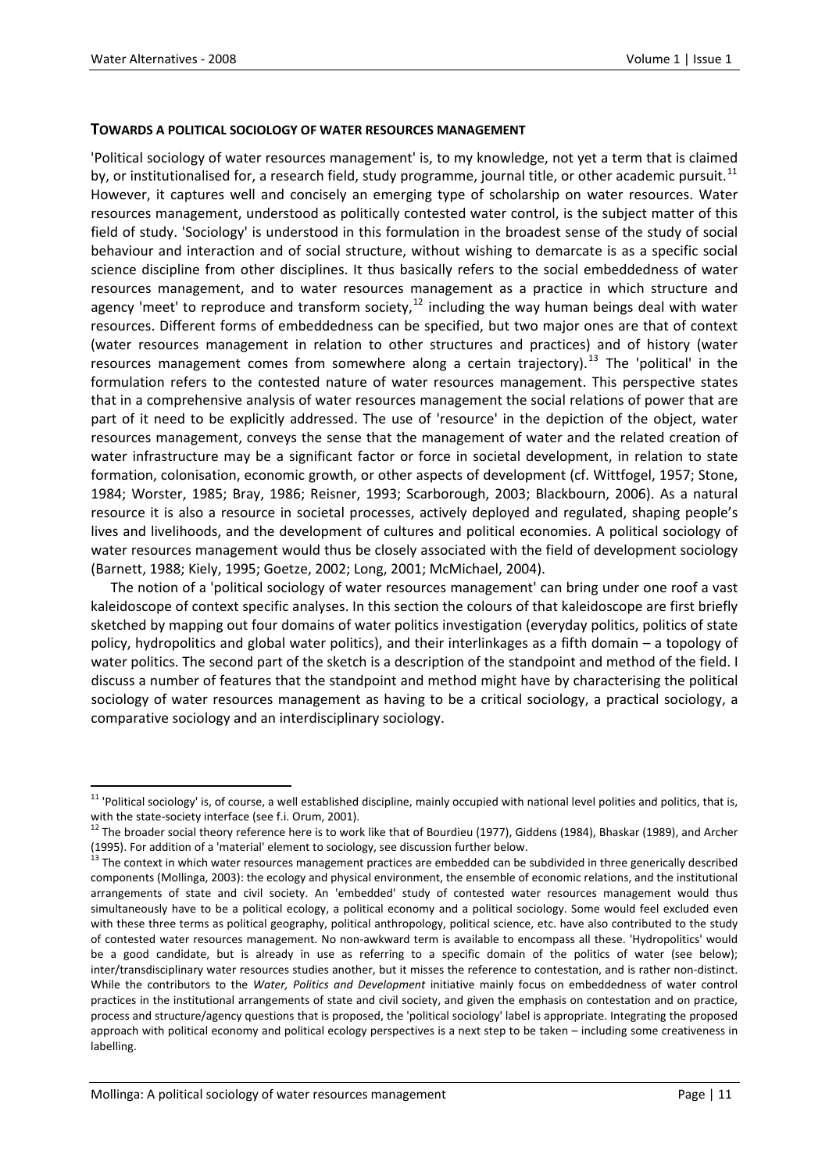#### **TOWARDS A POLITICAL SOCIOLOGY OF WATER RESOURCES MANAGEMENT**

'Political sociology of water resources management' is, to my knowledge, not yet a term that is claimed by, or institutionalised for, a research field, study programme, journal title, or other academic pursuit.<sup>[11](#page-4-0)</sup> However, it captures well and concisely an emerging type of scholarship on water resources. Water resources management, understood as politically contested water control, is the subject matter of this field of study. 'Sociology' is understood in this formulation in the broadest sense of the study of social behaviour and interaction and of social structure, without wishing to demarcate is as a specific social science discipline from other disciplines. It thus basically refers to the social embeddedness of water resources management, and to water resources management as a practice in which structure and agency 'meet' to reproduce and transform society,  $12$  including the way human beings deal with water resources. Different forms of embeddedness can be specified, but two major ones are that of context (water resources management in relation to other structures and practices) and of history (water resources management comes from somewhere along a certain trajectory).<sup>[13](#page-4-2)</sup> The 'political' in the formulation refers to the contested nature of water resources management. This perspective states that in a comprehensive analysis of water resources management the social relations of power that are part of it need to be explicitly addressed. The use of 'resource' in the depiction of the object, water resources management, conveys the sense that the management of water and the related creation of water infrastructure may be a significant factor or force in societal development, in relation to state formation, colonisation, economic growth, or other aspects of development (cf. Wittfogel, 1957; Stone, 1984; Worster, 1985; Bray, 1986; Reisner, 1993; Scarborough, 2003; Blackbourn, 2006). As a natural resource it is also a resource in societal processes, actively deployed and regulated, shaping people's lives and livelihoods, and the development of cultures and political economies. A political sociology of water resources management would thus be closely associated with the field of development sociology (Barnett, 1988; Kiely, 1995; Goetze, 2002; Long, 2001; McMichael, 2004).

The notion of a 'political sociology of water resources management' can bring under one roof a vast kaleidoscope of context specific analyses. In this section the colours of that kaleidoscope are first briefly sketched by mapping out four domains of water politics investigation (everyday politics, politics of state policy, hydropolitics and global water politics), and their interlinkages as a fifth domain – a topology of water politics. The second part of the sketch is a description of the standpoint and method of the field. I discuss a number of features that the standpoint and method might have by characterising the political sociology of water resources management as having to be a critical sociology, a practical sociology, a comparative sociology and an interdisciplinary sociology.

<span id="page-4-0"></span><sup>&</sup>lt;sup>11</sup> 'Political sociology' is, of course, a well established discipline, mainly occupied with national level polities and politics, that is,

with the state-society interface (see f.i. Orum, 2001).<br><sup>12</sup> The broader social theory reference here is to work like that of Bourdieu (1977), Giddens (1984), Bhaskar (1989), and Archer

<span id="page-4-2"></span><span id="page-4-1"></span><sup>(1995).</sup> For addition of a 'material' element to sociology, see discussion further below.<br><sup>13</sup> The context in which water resources management practices are embedded can be subdivided in three generically described components (Mollinga, 2003): the ecology and physical environment, the ensemble of economic relations, and the institutional arrangements of state and civil society. An 'embedded' study of contested water resources management would thus simultaneously have to be a political ecology, a political economy and a political sociology. Some would feel excluded even with these three terms as political geography, political anthropology, political science, etc. have also contributed to the study of contested water resources management. No non‐awkward term is available to encompass all these. 'Hydropolitics' would be a good candidate, but is already in use as referring to a specific domain of the politics of water (see below); inter/transdisciplinary water resources studies another, but it misses the reference to contestation, and is rather non‐distinct. While the contributors to the *Water, Politics and Development* initiative mainly focus on embeddedness of water control practices in the institutional arrangements of state and civil society, and given the emphasis on contestation and on practice, process and structure/agency questions that is proposed, the 'political sociology' label is appropriate. Integrating the proposed approach with political economy and political ecology perspectives is a next step to be taken – including some creativeness in labelling.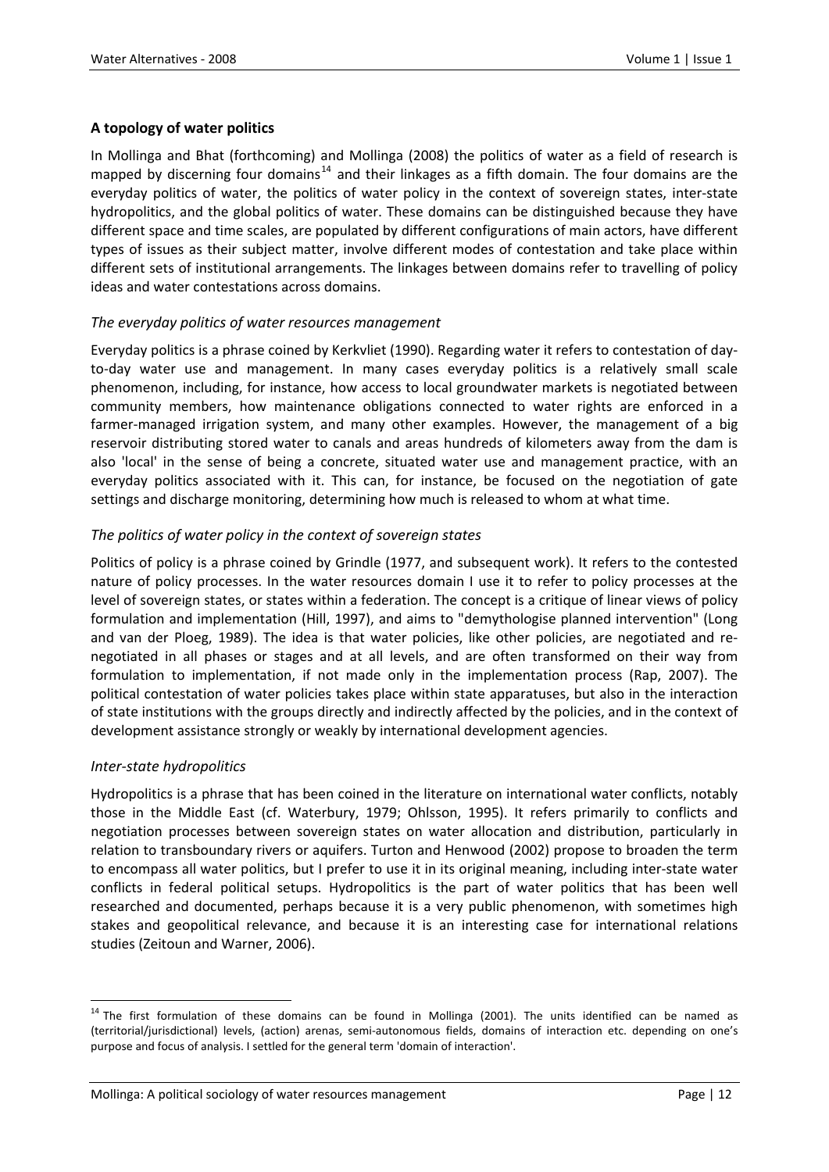# **A topology of water politics**

In Mollinga and Bhat (forthcoming) and Mollinga (2008) the politics of water as a field of research is mapped by discerning four domains<sup>[14](#page-5-0)</sup> and their linkages as a fifth domain. The four domains are the everyday politics of water, the politics of water policy in the context of sovereign states, inter‐state hydropolitics, and the global politics of water. These domains can be distinguished because they have different space and time scales, are populated by different configurations of main actors, have different types of issues as their subject matter, involve different modes of contestation and take place within different sets of institutional arrangements. The linkages between domains refer to travelling of policy ideas and water contestations across domains.

# *The everyday politics of water resources management*

Everyday politics is a phrase coined by Kerkvliet (1990). Regarding water it refers to contestation of day‐ to-day water use and management. In many cases everyday politics is a relatively small scale phenomenon, including, for instance, how access to local groundwater markets is negotiated between community members, how maintenance obligations connected to water rights are enforced in a farmer-managed irrigation system, and many other examples. However, the management of a big reservoir distributing stored water to canals and areas hundreds of kilometers away from the dam is also 'local' in the sense of being a concrete, situated water use and management practice, with an everyday politics associated with it. This can, for instance, be focused on the negotiation of gate settings and discharge monitoring, determining how much is released to whom at what time.

# *The politics of water policy in the context of sovereign states*

Politics of policy is a phrase coined by Grindle (1977, and subsequent work). It refers to the contested nature of policy processes. In the water resources domain I use it to refer to policy processes at the level of sovereign states, or states within a federation. The concept is a critique of linear views of policy formulation and implementation (Hill, 1997), and aims to "demythologise planned intervention" (Long and van der Ploeg, 1989). The idea is that water policies, like other policies, are negotiated and renegotiated in all phases or stages and at all levels, and are often transformed on their way from formulation to implementation, if not made only in the implementation process (Rap, 2007). The political contestation of water policies takes place within state apparatuses, but also in the interaction of state institutions with the groups directly and indirectly affected by the policies, and in the context of development assistance strongly or weakly by international development agencies.

## *Inter‐state hydropolitics*

Hydropolitics is a phrase that has been coined in the literature on international water conflicts, notably those in the Middle East (cf. Waterbury, 1979; Ohlsson, 1995). It refers primarily to conflicts and negotiation processes between sovereign states on water allocation and distribution, particularly in relation to transboundary rivers or aquifers. Turton and Henwood (2002) propose to broaden the term to encompass all water politics, but I prefer to use it in its original meaning, including inter‐state water conflicts in federal political setups. Hydropolitics is the part of water politics that has been well researched and documented, perhaps because it is a very public phenomenon, with sometimes high stakes and geopolitical relevance, and because it is an interesting case for international relations studies (Zeitoun and Warner, 2006).

<span id="page-5-0"></span><sup>&</sup>lt;sup>14</sup> The first formulation of these domains can be found in Mollinga (2001). The units identified can be named as (territorial/jurisdictional) levels, (action) arenas, semi‐autonomous fields, domains of interaction etc. depending on one's purpose and focus of analysis. I settled for the general term 'domain of interaction'.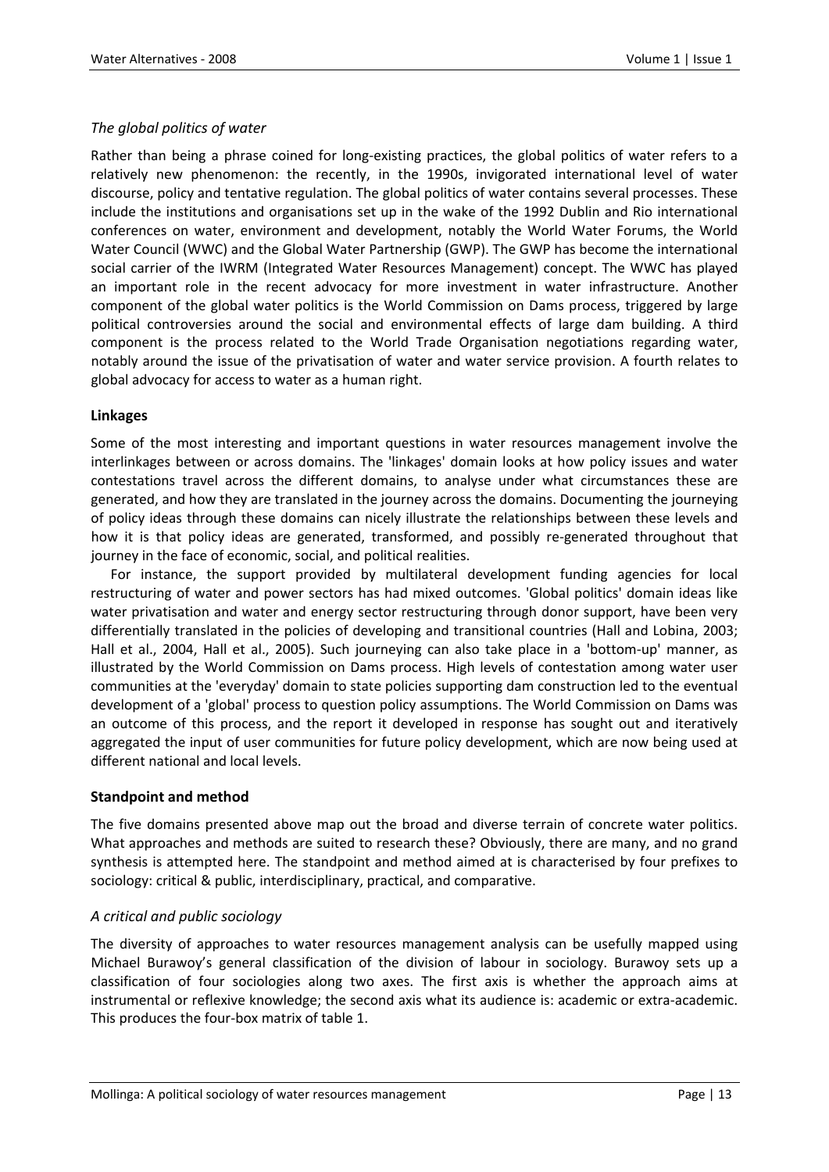# *The global politics of water*

Rather than being a phrase coined for long‐existing practices, the global politics of water refers to a relatively new phenomenon: the recently, in the 1990s, invigorated international level of water discourse, policy and tentative regulation. The global politics of water contains several processes. These include the institutions and organisations set up in the wake of the 1992 Dublin and Rio international conferences on water, environment and development, notably the World Water Forums, the World Water Council (WWC) and the Global Water Partnership (GWP). The GWP has become the international social carrier of the IWRM (Integrated Water Resources Management) concept. The WWC has played an important role in the recent advocacy for more investment in water infrastructure. Another component of the global water politics is the World Commission on Dams process, triggered by large political controversies around the social and environmental effects of large dam building. A third component is the process related to the World Trade Organisation negotiations regarding water, notably around the issue of the privatisation of water and water service provision. A fourth relates to global advocacy for access to water as a human right.

# **Linkages**

Some of the most interesting and important questions in water resources management involve the interlinkages between or across domains. The 'linkages' domain looks at how policy issues and water contestations travel across the different domains, to analyse under what circumstances these are generated, and how they are translated in the journey across the domains. Documenting the journeying of policy ideas through these domains can nicely illustrate the relationships between these levels and how it is that policy ideas are generated, transformed, and possibly re-generated throughout that journey in the face of economic, social, and political realities.

For instance, the support provided by multilateral development funding agencies for local restructuring of water and power sectors has had mixed outcomes. 'Global politics' domain ideas like water privatisation and water and energy sector restructuring through donor support, have been very differentially translated in the policies of developing and transitional countries (Hall and Lobina, 2003; Hall et al., 2004, Hall et al., 2005). Such journeying can also take place in a 'bottom‐up' manner, as illustrated by the World Commission on Dams process. High levels of contestation among water user communities at the 'everyday' domain to state policies supporting dam construction led to the eventual development of a 'global' process to question policy assumptions. The World Commission on Dams was an outcome of this process, and the report it developed in response has sought out and iteratively aggregated the input of user communities for future policy development, which are now being used at different national and local levels.

## **Standpoint and method**

The five domains presented above map out the broad and diverse terrain of concrete water politics. What approaches and methods are suited to research these? Obviously, there are many, and no grand synthesis is attempted here. The standpoint and method aimed at is characterised by four prefixes to sociology: critical & public, interdisciplinary, practical, and comparative.

# *A critical and public sociology*

The diversity of approaches to water resources management analysis can be usefully mapped using Michael Burawoy's general classification of the division of labour in sociology. Burawoy sets up a classification of four sociologies along two axes. The first axis is whether the approach aims at instrumental or reflexive knowledge; the second axis what its audience is: academic or extra‐academic. This produces the four‐box matrix of table 1.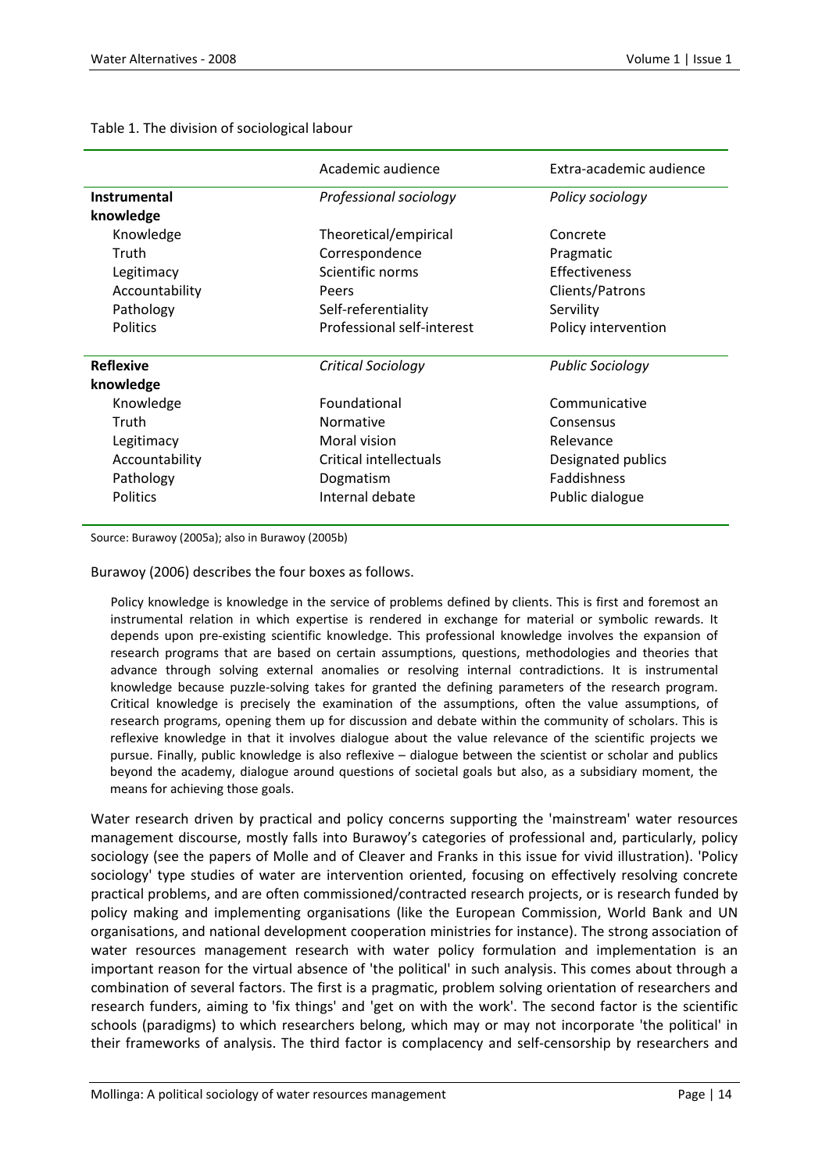|                  | Academic audience          | Extra-academic audience |
|------------------|----------------------------|-------------------------|
| Instrumental     | Professional sociology     | Policy sociology        |
| knowledge        |                            |                         |
| Knowledge        | Theoretical/empirical      | Concrete                |
| Truth            | Correspondence             | Pragmatic               |
| Legitimacy       | Scientific norms           | Effectiveness           |
| Accountability   | Peers                      | Clients/Patrons         |
| Pathology        | Self-referentiality        | Servility               |
| <b>Politics</b>  | Professional self-interest | Policy intervention     |
|                  |                            |                         |
| <b>Reflexive</b> | Critical Sociology         | <b>Public Sociology</b> |
| knowledge        |                            |                         |
| Knowledge        | Foundational               | Communicative           |
| Truth            | Normative                  | Consensus               |
| Legitimacy       | Moral vision               | Relevance               |
| Accountability   | Critical intellectuals     | Designated publics      |
| Pathology        | Dogmatism                  | <b>Faddishness</b>      |
| <b>Politics</b>  | Internal debate            | Public dialogue         |
|                  |                            |                         |

Table 1. The division of sociological labour

Source: Burawoy (2005a); also in Burawoy (2005b)

Burawoy (2006) describes the four boxes as follows.

Policy knowledge is knowledge in the service of problems defined by clients. This is first and foremost an instrumental relation in which expertise is rendered in exchange for material or symbolic rewards. It depends upon pre‐existing scientific knowledge. This professional knowledge involves the expansion of research programs that are based on certain assumptions, questions, methodologies and theories that advance through solving external anomalies or resolving internal contradictions. It is instrumental knowledge because puzzle‐solving takes for granted the defining parameters of the research program. Critical knowledge is precisely the examination of the assumptions, often the value assumptions, of research programs, opening them up for discussion and debate within the community of scholars. This is reflexive knowledge in that it involves dialogue about the value relevance of the scientific projects we pursue. Finally, public knowledge is also reflexive – dialogue between the scientist or scholar and publics beyond the academy, dialogue around questions of societal goals but also, as a subsidiary moment, the means for achieving those goals.

Water research driven by practical and policy concerns supporting the 'mainstream' water resources management discourse, mostly falls into Burawoy's categories of professional and, particularly, policy sociology (see the papers of Molle and of Cleaver and Franks in this issue for vivid illustration). 'Policy sociology' type studies of water are intervention oriented, focusing on effectively resolving concrete practical problems, and are often commissioned/contracted research projects, or is research funded by policy making and implementing organisations (like the European Commission, World Bank and UN organisations, and national development cooperation ministries for instance). The strong association of water resources management research with water policy formulation and implementation is an important reason for the virtual absence of 'the political' in such analysis. This comes about through a combination of several factors. The first is a pragmatic, problem solving orientation of researchers and research funders, aiming to 'fix things' and 'get on with the work'. The second factor is the scientific schools (paradigms) to which researchers belong, which may or may not incorporate 'the political' in their frameworks of analysis. The third factor is complacency and self-censorship by researchers and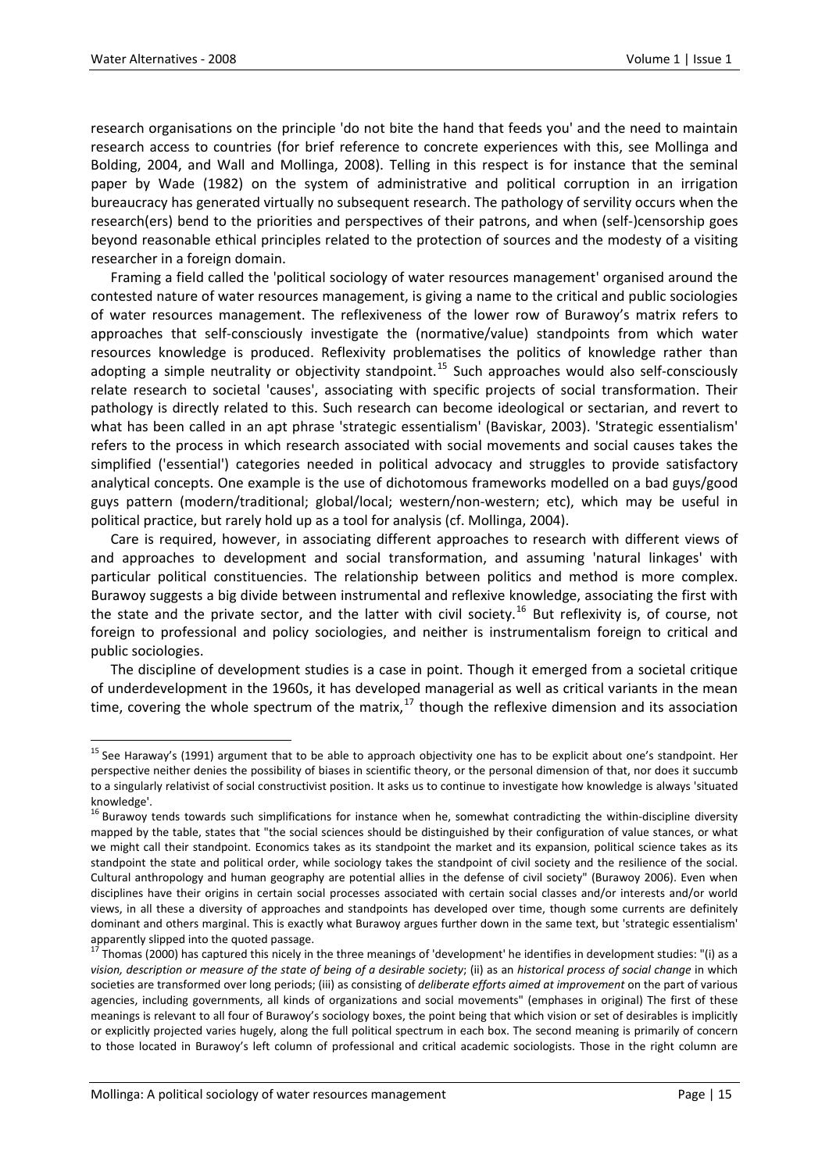research organisations on the principle 'do not bite the hand that feeds you' and the need to maintain research access to countries (for brief reference to concrete experiences with this, see Mollinga and Bolding, 2004, and Wall and Mollinga, 2008). Telling in this respect is for instance that the seminal paper by Wade (1982) on the system of administrative and political corruption in an irrigation bureaucracy has generated virtually no subsequent research. The pathology of servility occurs when the research(ers) bend to the priorities and perspectives of their patrons, and when (self‐)censorship goes beyond reasonable ethical principles related to the protection of sources and the modesty of a visiting researcher in a foreign domain.

Framing a field called the 'political sociology of water resources management' organised around the contested nature of water resources management, is giving a name to the critical and public sociologies of water resources management. The reflexiveness of the lower row of Burawoy's matrix refers to approaches that self‐consciously investigate the (normative/value) standpoints from which water resources knowledge is produced. Reflexivity problematises the politics of knowledge rather than adopting a simple neutrality or objectivity standpoint.<sup>[15](#page-8-0)</sup> Such approaches would also self-consciously relate research to societal 'causes', associating with specific projects of social transformation. Their pathology is directly related to this. Such research can become ideological or sectarian, and revert to what has been called in an apt phrase 'strategic essentialism' (Baviskar, 2003). 'Strategic essentialism' refers to the process in which research associated with social movements and social causes takes the simplified ('essential') categories needed in political advocacy and struggles to provide satisfactory analytical concepts. One example is the use of dichotomous frameworks modelled on a bad guys/good guys pattern (modern/traditional; global/local; western/non‐western; etc), which may be useful in political practice, but rarely hold up as a tool for analysis (cf. Mollinga, 2004).

Care is required, however, in associating different approaches to research with different views of and approaches to development and social transformation, and assuming 'natural linkages' with particular political constituencies. The relationship between politics and method is more complex. Burawoy suggests a big divide between instrumental and reflexive knowledge, associating the first with the state and the private sector, and the latter with civil society.<sup>[16](#page-8-1)</sup> But reflexivity is, of course, not foreign to professional and policy sociologies, and neither is instrumentalism foreign to critical and public sociologies.

The discipline of development studies is a case in point. Though it emerged from a societal critique of underdevelopment in the 1960s, it has developed managerial as well as critical variants in the mean time, covering the whole spectrum of the matrix, $17$  though the reflexive dimension and its association

<span id="page-8-0"></span><sup>&</sup>lt;sup>15</sup> See Haraway's (1991) argument that to be able to approach objectivity one has to be explicit about one's standpoint. Her perspective neither denies the possibility of biases in scientific theory, or the personal dimension of that, nor does it succumb to a singularly relativist of social constructivist position. It asks us to continue to investigate how knowledge is always 'situated knowledge'.<br><sup>16</sup> Burawoy tends towards such simplifications for instance when he, somewhat contradicting the within-discipline diversity

<span id="page-8-1"></span>mapped by the table, states that "the social sciences should be distinguished by their configuration of value stances, or what we might call their standpoint. Economics takes as its standpoint the market and its expansion, political science takes as its standpoint the state and political order, while sociology takes the standpoint of civil society and the resilience of the social. Cultural anthropology and human geography are potential allies in the defense of civil society" (Burawoy 2006). Even when disciplines have their origins in certain social processes associated with certain social classes and/or interests and/or world views, in all these a diversity of approaches and standpoints has developed over time, though some currents are definitely dominant and others marginal. This is exactly what Burawoy argues further down in the same text, but 'strategic essentialism'<br>apparently slipped into the quoted passage.<br> $\frac{17}{17}$ 

<span id="page-8-2"></span>Thomas (2000) has captured this nicely in the three meanings of 'development' he identifies in development studies: "(i) as a vision, description or measure of the state of being of a desirable society; (ii) as an historical process of social change in which societies are transformed over long periods; (iii) as consisting of *deliberate efforts aimed at improvement* on the part of various agencies, including governments, all kinds of organizations and social movements" (emphases in original) The first of these meanings is relevant to all four of Burawoy's sociology boxes, the point being that which vision or set of desirables is implicitly or explicitly projected varies hugely, along the full political spectrum in each box. The second meaning is primarily of concern to those located in Burawoy's left column of professional and critical academic sociologists. Those in the right column are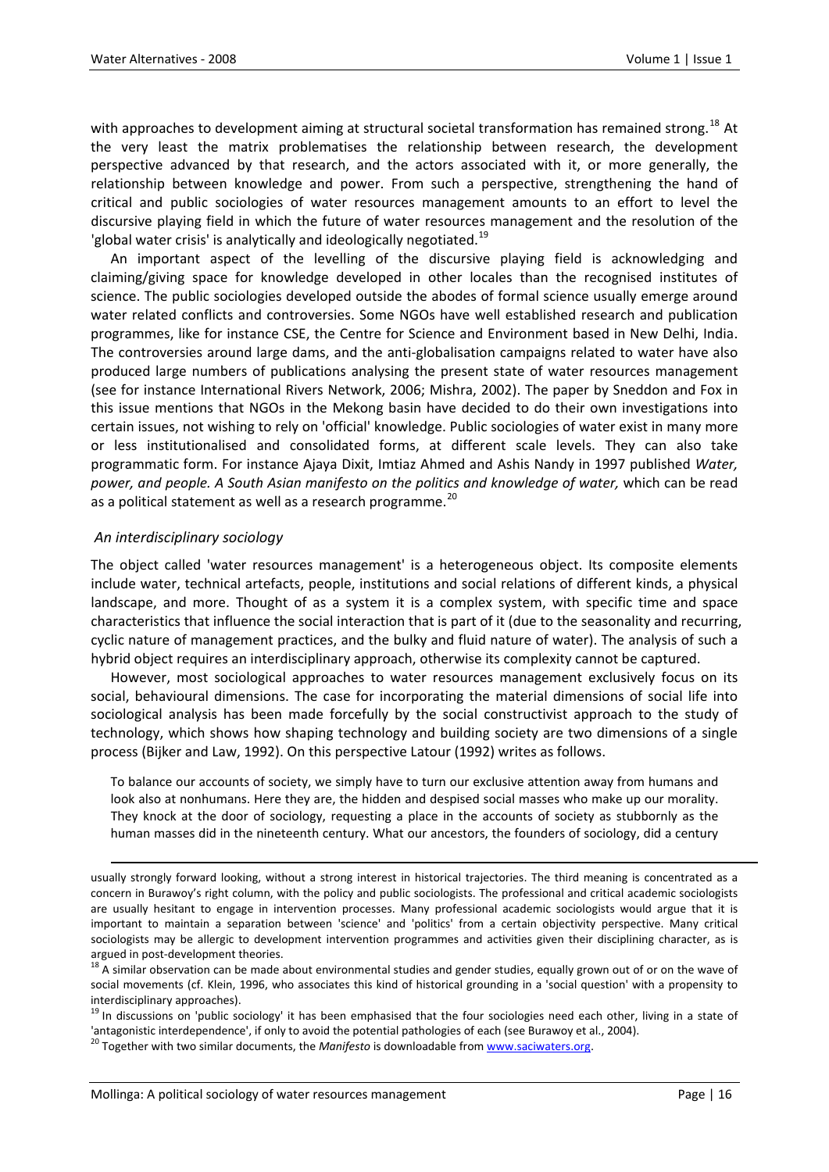with approaches to development aiming at structural societal transformation has remained strong.<sup>[18](#page-9-0)</sup> At the very least the matrix problematises the relationship between research, the development perspective advanced by that research, and the actors associated with it, or more generally, the relationship between knowledge and power. From such a perspective, strengthening the hand of critical and public sociologies of water resources management amounts to an effort to level the discursive playing field in which the future of water resources management and the resolution of the 'global water crisis' is analytically and ideologically negotiated.<sup>[19](#page-9-1)</sup>

An important aspect of the levelling of the discursive playing field is acknowledging and claiming/giving space for knowledge developed in other locales than the recognised institutes of science. The public sociologies developed outside the abodes of formal science usually emerge around water related conflicts and controversies. Some NGOs have well established research and publication programmes, like for instance CSE, the Centre for Science and Environment based in New Delhi, India. The controversies around large dams, and the anti‐globalisation campaigns related to water have also produced large numbers of publications analysing the present state of water resources management (see for instance International Rivers Network, 2006; Mishra, 2002). The paper by Sneddon and Fox in this issue mentions that NGOs in the Mekong basin have decided to do their own investigations into certain issues, not wishing to rely on 'official' knowledge. Public sociologies of water exist in many more or less institutionalised and consolidated forms, at different scale levels. They can also take programmatic form. For instance Ajaya Dixit, Imtiaz Ahmed and Ashis Nandy in 1997 published *Water, power, and people. A South Asian manifesto on the politics and knowledge of water,* which can be read as a political statement as well as a research programme.<sup>[20](#page-9-2)</sup>

# *An interdisciplinary sociology*

The object called 'water resources management' is a heterogeneous object. Its composite elements include water, technical artefacts, people, institutions and social relations of different kinds, a physical landscape, and more. Thought of as a system it is a complex system, with specific time and space characteristics that influence the social interaction that is part of it (due to the seasonality and recurring, cyclic nature of management practices, and the bulky and fluid nature of water). The analysis of such a hybrid object requires an interdisciplinary approach, otherwise its complexity cannot be captured.

However, most sociological approaches to water resources management exclusively focus on its social, behavioural dimensions. The case for incorporating the material dimensions of social life into sociological analysis has been made forcefully by the social constructivist approach to the study of technology, which shows how shaping technology and building society are two dimensions of a single process (Bijker and Law, 1992). On this perspective Latour (1992) writes as follows.

To balance our accounts of society, we simply have to turn our exclusive attention away from humans and look also at nonhumans. Here they are, the hidden and despised social masses who make up our morality. They knock at the door of sociology, requesting a place in the accounts of society as stubbornly as the human masses did in the nineteenth century. What our ancestors, the founders of sociology, did a century

<u> 1989 - Johann Barbert Barbert Barbert Barbert Barbert Barbert Barbert Barbert Barbert Barbert Barbert Barbert</u>

usually strongly forward looking, without a strong interest in historical trajectories. The third meaning is concentrated as a concern in Burawoy's right column, with the policy and public sociologists. The professional and critical academic sociologists are usually hesitant to engage in intervention processes. Many professional academic sociologists would argue that it is important to maintain a separation between 'science' and 'politics' from a certain objectivity perspective. Many critical sociologists may be allergic to development intervention programmes and activities given their disciplining character, as is

<span id="page-9-0"></span>argued in post-development theories.<br><sup>18</sup> A similar observation can be made about environmental studies and gender studies, equally grown out of or on the wave of social movements (cf. Klein, 1996, who associates this kind of historical grounding in a 'social question' with a propensity to

<span id="page-9-1"></span>interdisciplinary approaches).<br><sup>19</sup> In discussions on 'public sociology' it has been emphasised that the four sociologies need each other, living in a state of 'antagonistic interdependence', if only to avoid the potential pathologies of each (see Burawoy et al., 2004).<br><sup>20</sup> Together with two similar documents, the *Manifesto* is downloadable from [www.saciwaters.org](http://www.saciwaters.org/).

<span id="page-9-2"></span>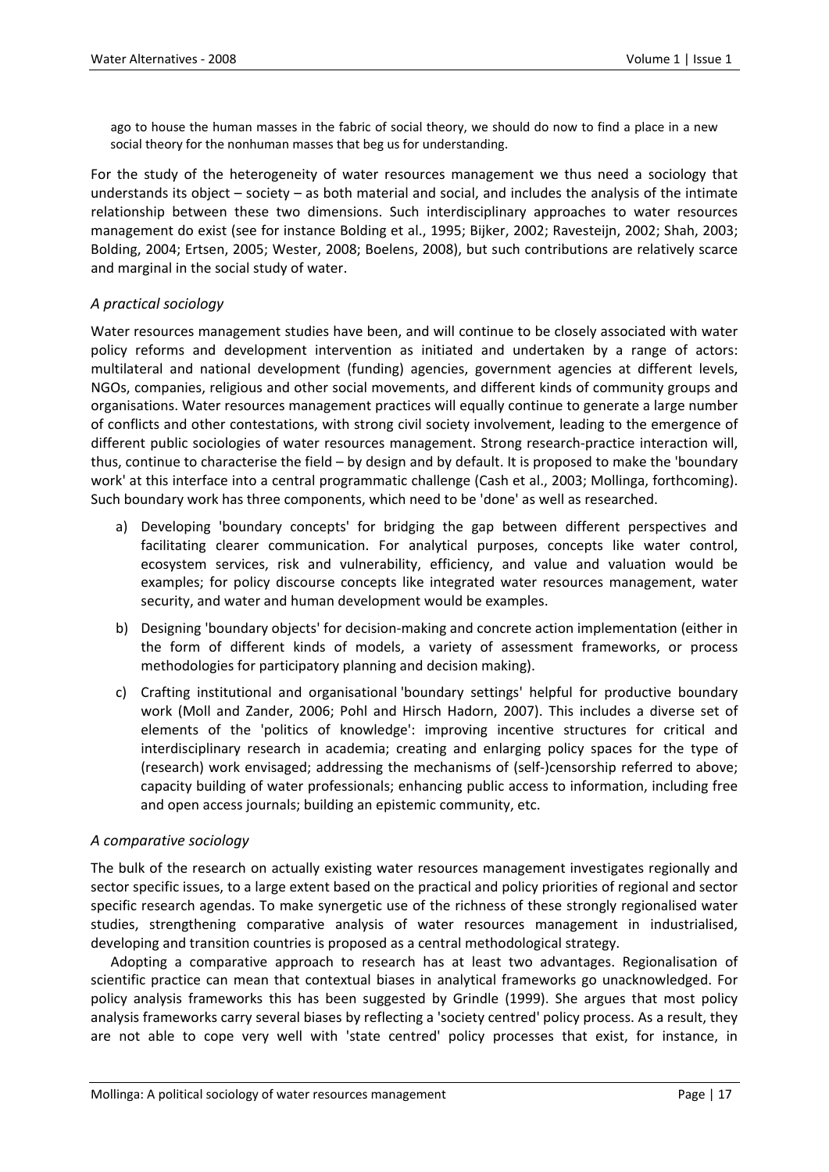ago to house the human masses in the fabric of social theory, we should do now to find a place in a new social theory for the nonhuman masses that beg us for understanding.

For the study of the heterogeneity of water resources management we thus need a sociology that understands its object – society – as both material and social, and includes the analysis of the intimate relationship between these two dimensions. Such interdisciplinary approaches to water resources management do exist (see for instance Bolding et al., 1995; Bijker, 2002; Ravesteijn, 2002; Shah, 2003; Bolding, 2004; Ertsen, 2005; Wester, 2008; Boelens, 2008), but such contributions are relatively scarce and marginal in the social study of water.

# *A practical sociology*

Water resources management studies have been, and will continue to be closely associated with water policy reforms and development intervention as initiated and undertaken by a range of actors: multilateral and national development (funding) agencies, government agencies at different levels, NGOs, companies, religious and other social movements, and different kinds of community groups and organisations. Water resources management practices will equally continue to generate a large number of conflicts and other contestations, with strong civil society involvement, leading to the emergence of different public sociologies of water resources management. Strong research-practice interaction will, thus, continue to characterise the field – by design and by default. It is proposed to make the 'boundary work' at this interface into a central programmatic challenge (Cash et al., 2003; Mollinga, forthcoming). Such boundary work has three components, which need to be 'done' as well as researched.

- a) Developing 'boundary concepts' for bridging the gap between different perspectives and facilitating clearer communication. For analytical purposes, concepts like water control, ecosystem services, risk and vulnerability, efficiency, and value and valuation would be examples; for policy discourse concepts like integrated water resources management, water security, and water and human development would be examples.
- b) Designing 'boundary objects' for decision-making and concrete action implementation (either in the form of different kinds of models, a variety of assessment frameworks, or process methodologies for participatory planning and decision making).
- c) Crafting institutional and organisational 'boundary settings' helpful for productive boundary work (Moll and Zander, 2006; Pohl and Hirsch Hadorn, 2007). This includes a diverse set of elements of the 'politics of knowledge': improving incentive structures for critical and interdisciplinary research in academia; creating and enlarging policy spaces for the type of (research) work envisaged; addressing the mechanisms of (self‐)censorship referred to above; capacity building of water professionals; enhancing public access to information, including free and open access journals; building an epistemic community, etc.

## *A comparative sociology*

The bulk of the research on actually existing water resources management investigates regionally and sector specific issues, to a large extent based on the practical and policy priorities of regional and sector specific research agendas. To make synergetic use of the richness of these strongly regionalised water studies, strengthening comparative analysis of water resources management in industrialised, developing and transition countries is proposed as a central methodological strategy.

Adopting a comparative approach to research has at least two advantages. Regionalisation of scientific practice can mean that contextual biases in analytical frameworks go unacknowledged. For policy analysis frameworks this has been suggested by Grindle (1999). She argues that most policy analysis frameworks carry several biases by reflecting a 'society centred' policy process. As a result, they are not able to cope very well with 'state centred' policy processes that exist, for instance, in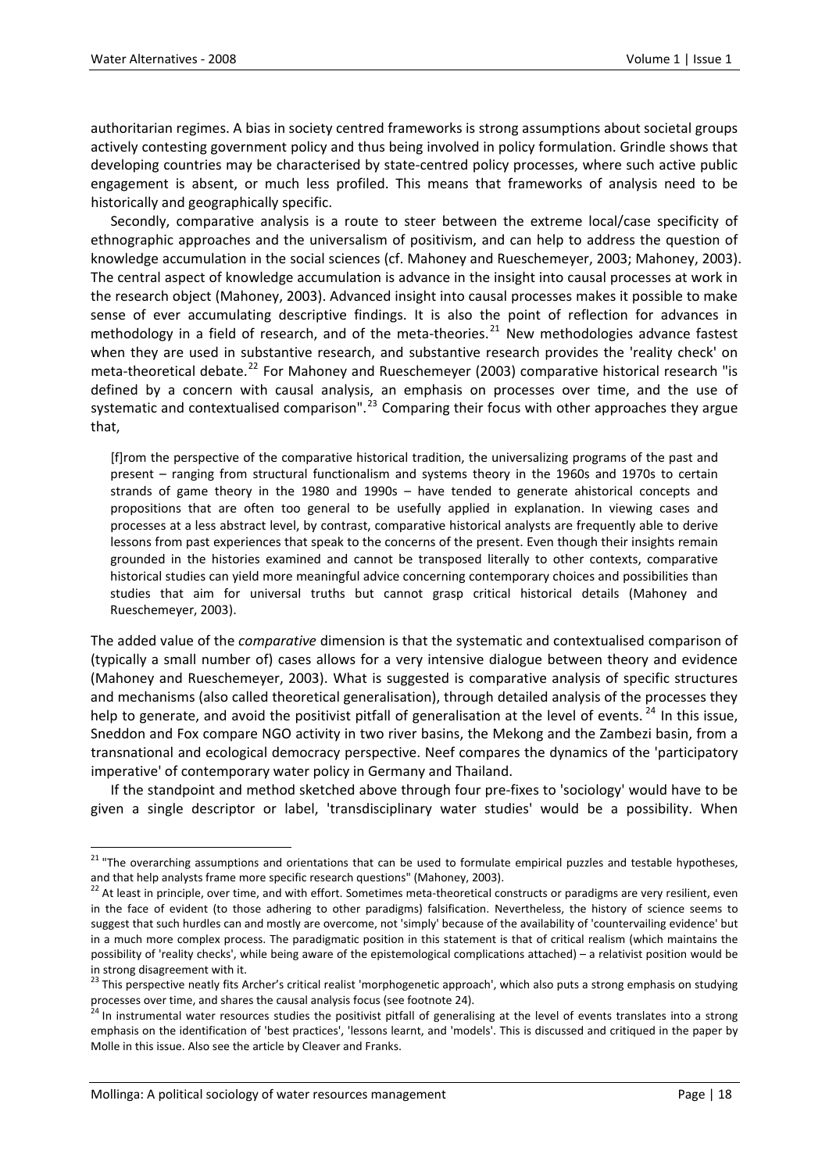authoritarian regimes. A bias in society centred frameworks is strong assumptions about societal groups actively contesting government policy and thus being involved in policy formulation. Grindle shows that developing countries may be characterised by state‐centred policy processes, where such active public engagement is absent, or much less profiled. This means that frameworks of analysis need to be historically and geographically specific.

Secondly, comparative analysis is a route to steer between the extreme local/case specificity of ethnographic approaches and the universalism of positivism, and can help to address the question of knowledge accumulation in the social sciences (cf. Mahoney and Rueschemeyer, 2003; Mahoney, 2003). The central aspect of knowledge accumulation is advance in the insight into causal processes at work in the research object (Mahoney, 2003). Advanced insight into causal processes makes it possible to make sense of ever accumulating descriptive findings. It is also the point of reflection for advances in methodology in a field of research, and of the meta-theories. $^{21}$  $^{21}$  $^{21}$  New methodologies advance fastest when they are used in substantive research, and substantive research provides the 'reality check' on meta-theoretical debate.<sup>[22](#page-11-1)</sup> For Mahoney and Rueschemeyer (2003) comparative historical research "is defined by a concern with causal analysis, an emphasis on processes over time, and the use of systematic and contextualised comparison".<sup>[23](#page-11-2)</sup> Comparing their focus with other approaches they argue that,

[f]rom the perspective of the comparative historical tradition, the universalizing programs of the past and present – ranging from structural functionalism and systems theory in the 1960s and 1970s to certain strands of game theory in the 1980 and 1990s – have tended to generate ahistorical concepts and propositions that are often too general to be usefully applied in explanation. In viewing cases and processes at a less abstract level, by contrast, comparative historical analysts are frequently able to derive lessons from past experiences that speak to the concerns of the present. Even though their insights remain grounded in the histories examined and cannot be transposed literally to other contexts, comparative historical studies can yield more meaningful advice concerning contemporary choices and possibilities than studies that aim for universal truths but cannot grasp critical historical details (Mahoney and Rueschemeyer, 2003).

The added value of the *comparative* dimension is that the systematic and contextualised comparison of (typically a small number of) cases allows for a very intensive dialogue between theory and evidence (Mahoney and Rueschemeyer, 2003). What is suggested is comparative analysis of specific structures and mechanisms (also called theoretical generalisation), through detailed analysis of the processes they help to generate, and avoid the positivist pitfall of generalisation at the level of events.  $^{24}$  $^{24}$  $^{24}$  In this issue, Sneddon and Fox compare NGO activity in two river basins, the Mekong and the Zambezi basin, from a transnational and ecological democracy perspective. Neef compares the dynamics of the 'participatory imperative' of contemporary water policy in Germany and Thailand.

If the standpoint and method sketched above through four pre‐fixes to 'sociology' would have to be given a single descriptor or label, 'transdisciplinary water studies' would be a possibility. When

<span id="page-11-0"></span><sup>&</sup>lt;sup>21</sup> "The overarching assumptions and orientations that can be used to formulate empirical puzzles and testable hypotheses, and that help analysts frame more specific research questions" (Mahoney, 2003).<br><sup>22</sup> At least in principle, over time, and with effort. Sometimes meta-theoretical constructs or paradigms are very resilient, even

<span id="page-11-1"></span>in the face of evident (to those adhering to other paradigms) falsification. Nevertheless, the history of science seems to suggest that such hurdles can and mostly are overcome, not 'simply' because of the availability of 'countervailing evidence' but in a much more complex process. The paradigmatic position in this statement is that of critical realism (which maintains the possibility of 'reality checks', while being aware of the epistemological complications attached) – a relativist position would be in strong disagreement with it.<br><sup>23</sup> This perspective neatly fits Archer's critical realist 'morphogenetic approach', which also puts a strong emphasis on studying

<span id="page-11-2"></span>

<span id="page-11-3"></span>processes over time, and shares the causal analysis focus (see footnote 24).<br><sup>24</sup> In instrumental water resources studies the positivist pitfall of generalising at the level of events translates into a strong emphasis on the identification of 'best practices', 'lessons learnt, and 'models'. This is discussed and critiqued in the paper by Molle in this issue. Also see the article by Cleaver and Franks.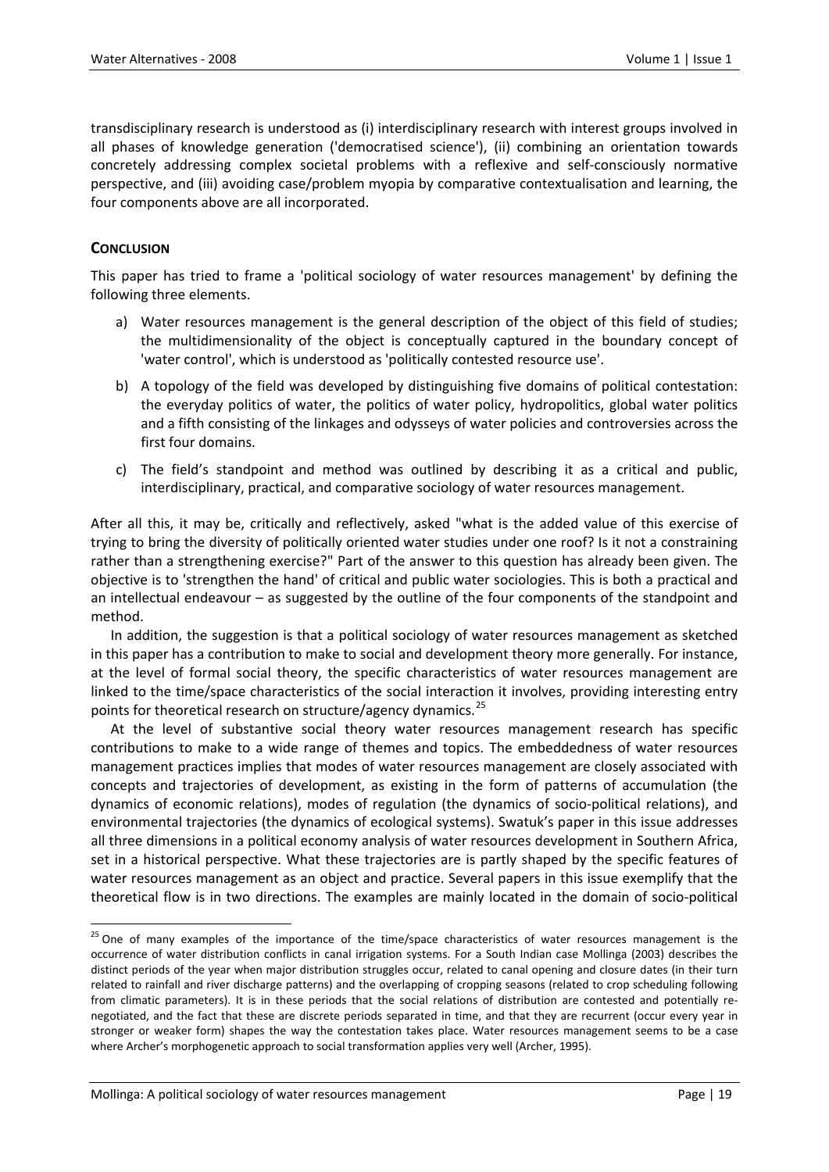transdisciplinary research is understood as (i) interdisciplinary research with interest groups involved in all phases of knowledge generation ('democratised science'), (ii) combining an orientation towards concretely addressing complex societal problems with a reflexive and self-consciously normative perspective, and (iii) avoiding case/problem myopia by comparative contextualisation and learning, the four components above are all incorporated.

# **CONCLUSION**

This paper has tried to frame a 'political sociology of water resources management' by defining the following three elements.

- a) Water resources management is the general description of the object of this field of studies; the multidimensionality of the object is conceptually captured in the boundary concept of 'water control', which is understood as 'politically contested resource use'.
- b) A topology of the field was developed by distinguishing five domains of political contestation: the everyday politics of water, the politics of water policy, hydropolitics, global water politics and a fifth consisting of the linkages and odysseys of water policies and controversies across the first four domains.
- c) The field's standpoint and method was outlined by describing it as a critical and public, interdisciplinary, practical, and comparative sociology of water resources management.

After all this, it may be, critically and reflectively, asked "what is the added value of this exercise of trying to bring the diversity of politically oriented water studies under one roof? Is it not a constraining rather than a strengthening exercise?" Part of the answer to this question has already been given. The objective is to 'strengthen the hand' of critical and public water sociologies. This is both a practical and an intellectual endeavour – as suggested by the outline of the four components of the standpoint and method.

In addition, the suggestion is that a political sociology of water resources management as sketched in this paper has a contribution to make to social and development theory more generally. For instance, at the level of formal social theory, the specific characteristics of water resources management are linked to the time/space characteristics of the social interaction it involves, providing interesting entry points for theoretical research on structure/agency dynamics.<sup>[25](#page-12-0)</sup>

At the level of substantive social theory water resources management research has specific contributions to make to a wide range of themes and topics. The embeddedness of water resources management practices implies that modes of water resources management are closely associated with concepts and trajectories of development, as existing in the form of patterns of accumulation (the dynamics of economic relations), modes of regulation (the dynamics of socio‐political relations), and environmental trajectories (the dynamics of ecological systems). Swatuk's paper in this issue addresses all three dimensions in a political economy analysis of water resources development in Southern Africa, set in a historical perspective. What these trajectories are is partly shaped by the specific features of water resources management as an object and practice. Several papers in this issue exemplify that the theoretical flow is in two directions. The examples are mainly located in the domain of socio‐political

<span id="page-12-0"></span><sup>&</sup>lt;sup>25</sup> One of many examples of the importance of the time/space characteristics of water resources management is the occurrence of water distribution conflicts in canal irrigation systems. For a South Indian case Mollinga (2003) describes the distinct periods of the year when major distribution struggles occur, related to canal opening and closure dates (in their turn related to rainfall and river discharge patterns) and the overlapping of cropping seasons (related to crop scheduling following from climatic parameters). It is in these periods that the social relations of distribution are contested and potentially renegotiated, and the fact that these are discrete periods separated in time, and that they are recurrent (occur every year in stronger or weaker form) shapes the way the contestation takes place. Water resources management seems to be a case where Archer's morphogenetic approach to social transformation applies very well (Archer, 1995).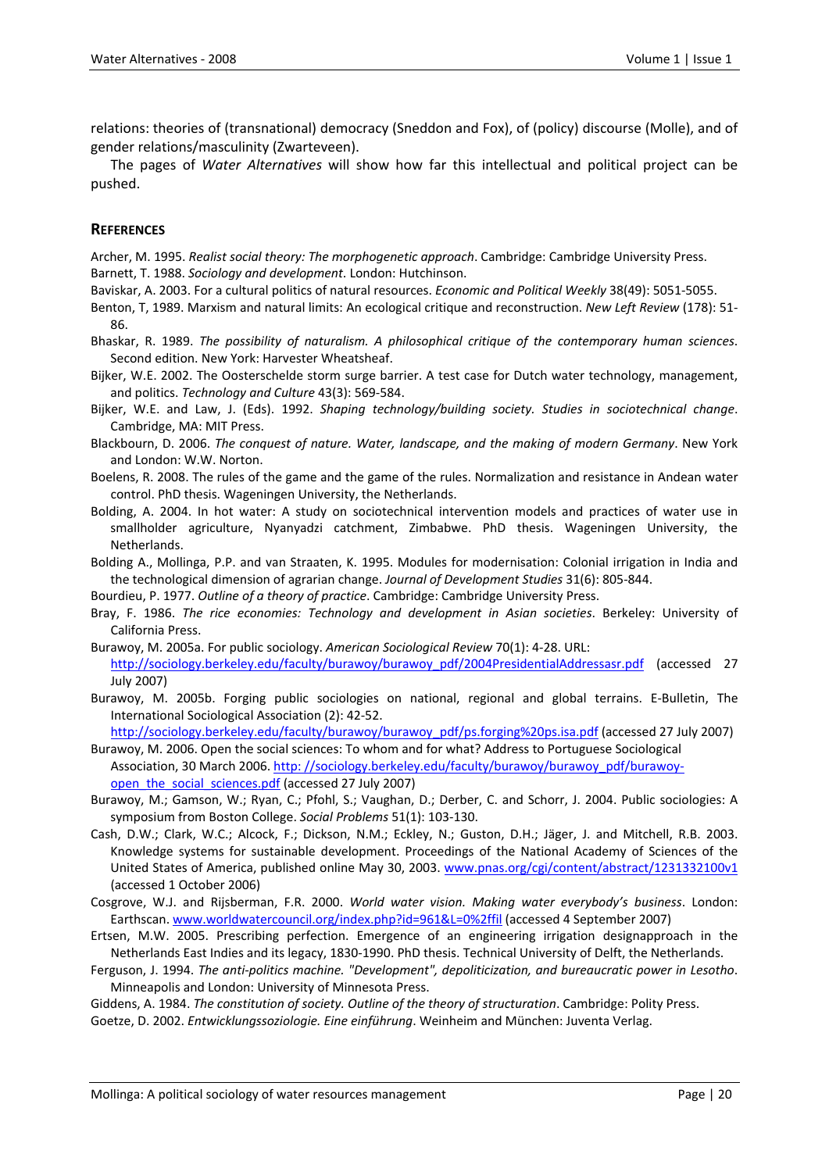relations: theories of (transnational) democracy (Sneddon and Fox), of (policy) discourse (Molle), and of gender relations/masculinity (Zwarteveen).

The pages of *Water Alternatives* will show how far this intellectual and political project can be pushed.

## **REFERENCES**

Archer, M. 1995. *Realist social theory: The morphogenetic approach*. Cambridge: Cambridge University Press. Barnett, T. 1988. *Sociology and development*. London: Hutchinson.

- Baviskar, A. 2003. For a cultural politics of natural resources. *Economic and Political Weekly* 38(49): 5051‐5055.
- Benton, T, 1989. Marxism and natural limits: An ecological critique and reconstruction. *New Left Review* (178): 51‐ 86.
- Bhaskar, R. 1989. *The possibility of naturalism. A philosophical critique of the contemporary human sciences*. Second edition. New York: Harvester Wheatsheaf.
- Bijker, W.E. 2002. The Oosterschelde storm surge barrier. A test case for Dutch water technology, management, and politics. *Technology and Culture* 43(3): 569‐584.
- Bijker, W.E. and Law, J. (Eds). 1992. *Shaping technology/building society. Studies in sociotechnical change*. Cambridge, MA: MIT Press.
- Blackbourn, D. 2006. *The conquest of nature. Water, landscape, and the making of modern Germany*. New York and London: W.W. Norton.
- Boelens, R. 2008. The rules of the game and the game of the rules. Normalization and resistance in Andean water control. PhD thesis. Wageningen University, the Netherlands.
- Bolding, A. 2004. In hot water: A study on sociotechnical intervention models and practices of water use in smallholder agriculture, Nyanyadzi catchment, Zimbabwe. PhD thesis. Wageningen University, the Netherlands.
- Bolding A., Mollinga, P.P. and van Straaten, K. 1995. Modules for modernisation: Colonial irrigation in India and the technological dimension of agrarian change. *Journal of Development Studies* 31(6): 805‐844.
- Bourdieu, P. 1977. *Outline of a theory of practice*. Cambridge: Cambridge University Press.
- Bray, F. 1986. *The rice economies: Technology and development in Asian societies*. Berkeley: University of California Press.
- Burawoy, M. 2005a. For public sociology. *American Sociological Review* 70(1): 4‐28. URL: [http://sociology.berkeley.edu/faculty/burawoy/burawoy\\_pdf/2004PresidentialAddressasr.pdf](http://sociology.berkeley.edu/faculty/burawoy/burawoy_pdf/2004PresidentialAddressasr.pdf) (accessed 27 July 2007)
- Burawoy, M. 2005b. Forging public sociologies on national, regional and global terrains. E‐Bulletin, The International Sociological Association (2): 42‐52.
- [http://sociology.berkeley.edu/faculty/burawoy/burawoy\\_pdf/ps.forging%20ps.isa.pdf](http://sociology.berkeley.edu/faculty/burawoy/burawoy_pdf/ps.forging%20ps.isa.pdf) (accessed 27 July 2007) Burawoy, M. 2006. Open the social sciences: To whom and for what? Address to Portuguese Sociological
- Association, 30 March 2006. http: [//sociology.berkeley.edu/faculty/burawoy/burawoy\\_pdf/burawoy](http://sociology.berkeley.edu/faculty/burawoy/burawoy_pdf/burawoy-open_the_social_sciences.pdf)[open\\_the\\_social\\_sciences.pdf](http://sociology.berkeley.edu/faculty/burawoy/burawoy_pdf/burawoy-open_the_social_sciences.pdf) (accessed 27 July 2007)
- Burawoy, M.; Gamson, W.; Ryan, C.; Pfohl, S.; Vaughan, D.; Derber, C. and Schorr, J. 2004. Public sociologies: A symposium from Boston College. *Social Problems* 51(1): 103‐130.
- Cash, D.W.; Clark, W.C.; Alcock, F.; Dickson, N.M.; Eckley, N.; Guston, D.H.; Jäger, J. and Mitchell, R.B. 2003. Knowledge systems for sustainable development. Proceedings of the National Academy of Sciences of the United States of America, published online May 30, 2003. www.pnas.org/cgi/content/abstract/1231332100v1 (accessed 1 October 2006)
- Cosgrove, W.J. and Rijsberman, F.R. 2000. *World water vision. Making water everybody's business*. London: Earthscan. [www.worldwatercouncil.org/index.php?id=961&L=0%2ffil](http://www.worldwatercouncil.org/index.php?id=961&L=0%2ffil) (accessed 4 September 2007)
- Ertsen, M.W. 2005. Prescribing perfection. Emergence of an engineering irrigation designapproach in the Netherlands East Indies and its legacy, 1830‐1990. PhD thesis. Technical University of Delft, the Netherlands.
- Ferguson, J. 1994. *The anti‐politics machine. "Development", depoliticization, and bureaucratic power in Lesotho*. Minneapolis and London: University of Minnesota Press.
- Giddens, A. 1984. *The constitution of society. Outline of the theory of structuration*. Cambridge: Polity Press. Goetze, D. 2002. *Entwicklungssoziologie. Eine einführung*. Weinheim and München: Juventa Verlag.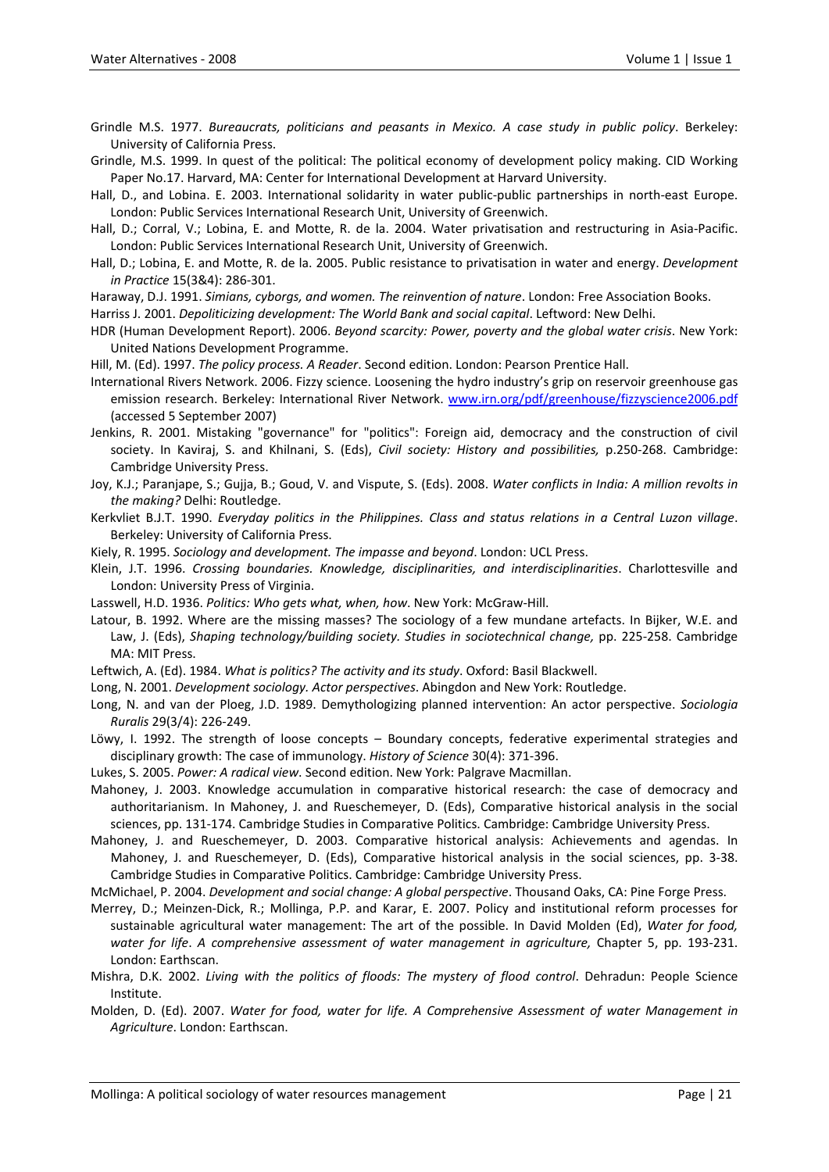- Grindle M.S. 1977. *Bureaucrats, politicians and peasants in Mexico. A case study in public policy*. Berkeley: University of California Press.
- Grindle, M.S. 1999. In quest of the political: The political economy of development policy making. CID Working Paper No.17. Harvard, MA: Center for International Development at Harvard University.

Hall, D., and Lobina. E. 2003. International solidarity in water public‐public partnerships in north‐east Europe. London: Public Services International Research Unit, University of Greenwich.

Hall, D.; Corral, V.; Lobina, E. and Motte, R. de la. 2004. Water privatisation and restructuring in Asia‐Pacific. London: Public Services International Research Unit, University of Greenwich.

Hall, D.; Lobina, E. and Motte, R. de la. 2005. Public resistance to privatisation in water and energy. *Development in Practice* 15(3&4): 286‐301.

Haraway, D.J. 1991. *Simians, cyborgs, and women. The reinvention of nature*. London: Free Association Books.

Harriss J. 2001. *Depoliticizing development: The World Bank and social capital*. Leftword: New Delhi.

HDR (Human Development Report). 2006. *Beyond scarcity: Power, poverty and the global water crisis*. New York: United Nations Development Programme.

Hill, M. (Ed). 1997. *The policy process. A Reader*. Second edition. London: Pearson Prentice Hall.

- International Rivers Network. 2006. Fizzy science. Loosening the hydro industry's grip on reservoir greenhouse gas emission research. Berkeley: International River Network. [www.irn.org/pdf/greenhouse/fizzyscience2006.pdf](http://www.irn.org/pdf/greenhouse/fizzyscience2006.pdf) (accessed 5 September 2007)
- Jenkins, R. 2001. Mistaking "governance" for "politics": Foreign aid, democracy and the construction of civil society. In Kaviraj, S. and Khilnani, S. (Eds), *Civil society: History and possibilities,* p.250‐268. Cambridge: Cambridge University Press.

Joy, K.J.; Paranjape, S.; Gujja, B.; Goud, V. and Vispute, S. (Eds). 2008. *Water conflicts in India: A million revolts in the making?* Delhi: Routledge.

Kerkvliet B.J.T. 1990. *Everyday politics in the Philippines. Class and status relations in a Central Luzon village*. Berkeley: University of California Press.

Kiely, R. 1995. *Sociology and development. The impasse and beyond*. London: UCL Press.

Klein, J.T. 1996. *Crossing boundaries. Knowledge, disciplinarities, and interdisciplinarities*. Charlottesville and London: University Press of Virginia.

Lasswell, H.D. 1936. *Politics: Who gets what, when, how*. New York: McGraw‐Hill.

Latour, B. 1992. Where are the missing masses? The sociology of a few mundane artefacts. In Bijker, W.E. and Law, J. (Eds), *Shaping technology/building society. Studies in sociotechnical change,* pp. 225‐258. Cambridge MA: MIT Press.

Leftwich, A. (Ed). 1984. *What is politics? The activity and its study*. Oxford: Basil Blackwell.

Long, N. 2001. *Development sociology. Actor perspectives*. Abingdon and New York: Routledge.

Long, N. and van der Ploeg, J.D. 1989. Demythologizing planned intervention: An actor perspective. *Sociologia Ruralis* 29(3/4): 226‐249.

Löwy, I. 1992. The strength of loose concepts – Boundary concepts, federative experimental strategies and disciplinary growth: The case of immunology. *History of Science* 30(4): 371‐396.

Lukes, S. 2005. *Power: A radical view*. Second edition. New York: Palgrave Macmillan.

Mahoney, J. 2003. Knowledge accumulation in comparative historical research: the case of democracy and authoritarianism. In Mahoney, J. and Rueschemeyer, D. (Eds), Comparative historical analysis in the social sciences, pp. 131-174. Cambridge Studies in Comparative Politics. Cambridge: Cambridge University Press.

Mahoney, J. and Rueschemeyer, D. 2003. Comparative historical analysis: Achievements and agendas. In Mahoney, J. and Rueschemeyer, D. (Eds), Comparative historical analysis in the social sciences, pp. 3-38. Cambridge Studies in Comparative Politics. Cambridge: Cambridge University Press.

McMichael, P. 2004. *Development and social change: A global perspective*. Thousand Oaks, CA: Pine Forge Press.

Merrey, D.; Meinzen‐Dick, R.; Mollinga, P.P. and Karar, E. 2007. Policy and institutional reform processes for sustainable agricultural water management: The art of the possible. In David Molden (Ed), *Water for food, water for life*. *A comprehensive assessment of water management in agriculture,* Chapter 5, pp. 193‐231. London: Earthscan.

Mishra, D.K. 2002. *Living with the politics of floods: The mystery of flood control*. Dehradun: People Science Institute.

Molden, D. (Ed). 2007. *Water for food, water for life. A Comprehensive Assessment of water Management in Agriculture*. London: Earthscan.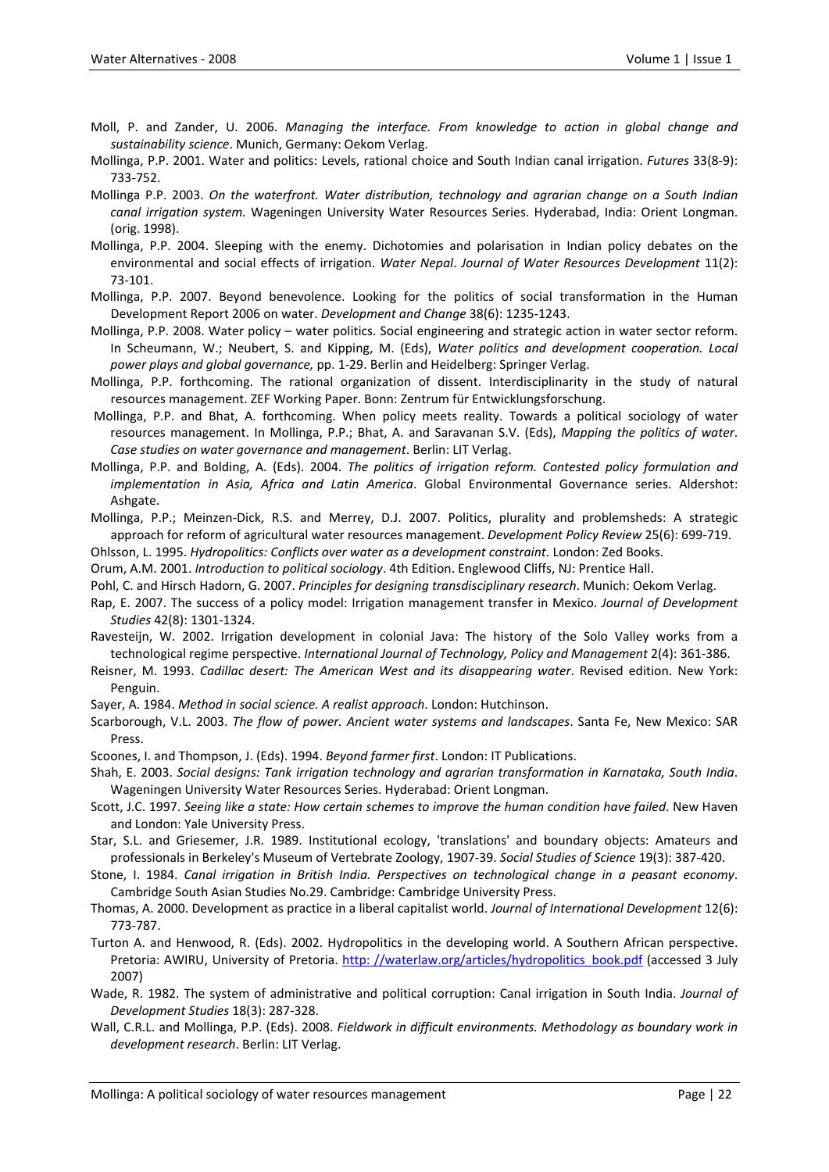- Moll, P. and Zander, U. 2006. *Managing the interface. From knowledge to action in global change and sustainability science*. Munich, Germany: Oekom Verlag.
- Mollinga, P.P. 2001. Water and politics: Levels, rational choice and South Indian canal irrigation. *Futures* 33(8‐9): 733‐752.
- Mollinga P.P. 2003. *On the waterfront. Water distribution, technology and agrarian change on a South Indian canal irrigation system.* Wageningen University Water Resources Series. Hyderabad, India: Orient Longman. (orig. 1998).
- Mollinga, P.P. 2004. Sleeping with the enemy. Dichotomies and polarisation in Indian policy debates on the environmental and social effects of irrigation. *Water Nepal*. *Journal of Water Resources Development* 11(2): 73‐101.
- Mollinga, P.P. 2007. Beyond benevolence. Looking for the politics of social transformation in the Human Development Report 2006 on water. *Development and Change* 38(6): 1235‐1243.
- Mollinga, P.P. 2008. Water policy water politics. Social engineering and strategic action in water sector reform. In Scheumann, W.; Neubert, S. and Kipping, M. (Eds), *Water politics and development cooperation. Local power plays and global governance,* pp. 1‐29. Berlin and Heidelberg: Springer Verlag.
- Mollinga, P.P. forthcoming. The rational organization of dissent. Interdisciplinarity in the study of natural resources management. ZEF Working Paper. Bonn: Zentrum für Entwicklungsforschung.
- Mollinga, P.P. and Bhat, A. forthcoming. When policy meets reality. Towards a political sociology of water resources management. In Mollinga, P.P.; Bhat, A. and Saravanan S.V. (Eds), *Mapping the politics of water*. *Case studies on water governance and management*. Berlin: LIT Verlag.
- Mollinga, P.P. and Bolding, A. (Eds). 2004. *The politics of irrigation reform. Contested policy formulation and implementation in Asia, Africa and Latin America*. Global Environmental Governance series. Aldershot: Ashgate.
- Mollinga, P.P.; Meinzen‐Dick, R.S. and Merrey, D.J. 2007. Politics, plurality and problemsheds: A strategic approach for reform of agricultural water resources management. *Development Policy Review* 25(6): 699‐719.

Ohlsson, L. 1995. *Hydropolitics: Conflicts over water as a development constraint*. London: Zed Books.

Orum, A.M. 2001. *Introduction to political sociology*. 4th Edition. Englewood Cliffs, NJ: Prentice Hall.

- Pohl, C. and Hirsch Hadorn, G. 2007. *Principles for designing transdisciplinary research*. Munich: Oekom Verlag.
- Rap, E. 2007. The success of a policy model: Irrigation management transfer in Mexico. *Journal of Development Studies* 42(8): 1301‐1324.
- Ravesteijn, W. 2002. Irrigation development in colonial Java: The history of the Solo Valley works from a technological regime perspective. *International Journal of Technology, Policy and Management* 2(4): 361‐386.
- Reisner, M. 1993. *Cadillac desert: The American West and its disappearing water*. Revised edition. New York: Penguin.
- Sayer, A. 1984. *Method in social science. A realist approach*. London: Hutchinson.
- Scarborough, V.L. 2003. *The flow of power. Ancient water systems and landscapes*. Santa Fe, New Mexico: SAR Press.
- Scoones, I. and Thompson, J. (Eds). 1994. *Beyond farmer first*. London: IT Publications.
- Shah, E. 2003. *Social designs: Tank irrigation technology and agrarian transformation in Karnataka, South India*. Wageningen University Water Resources Series. Hyderabad: Orient Longman.
- Scott, J.C. 1997. *Seeing like a state: How certain schemes to improve the human condition have failed*. New Haven and London: Yale University Press.

Star, S.L. and Griesemer, J.R. 1989. Institutional ecology, 'translations' and boundary objects: Amateurs and professionals in Berkeley's Museum of Vertebrate Zoology, 1907‐39. *Social Studies of Science* 19(3): 387‐420.

- Stone, I. 1984. *Canal irrigation in British India. Perspectives on technological change in a peasant economy*. Cambridge South Asian Studies No.29. Cambridge: Cambridge University Press.
- Thomas, A. 2000. Development as practice in a liberal capitalist world. *Journal of International Development* 12(6): 773‐787.
- Turton A. and Henwood, R. (Eds). 2002. Hydropolitics in the developing world. A Southern African perspective. Pretoria: AWIRU, University of Pretoria. http: [//waterlaw.org/articles/hydropolitics\\_book.pdf](http://waterlaw.org/articles/hydropolitics_book.pdf) (accessed 3 July 2007)
- Wade, R. 1982. The system of administrative and political corruption: Canal irrigation in South India. *Journal of Development Studies* 18(3): 287‐328.
- Wall, C.R.L. and Mollinga, P.P. (Eds). 2008. *Fieldwork in difficult environments. Methodology as boundary work in development research*. Berlin: LIT Verlag.